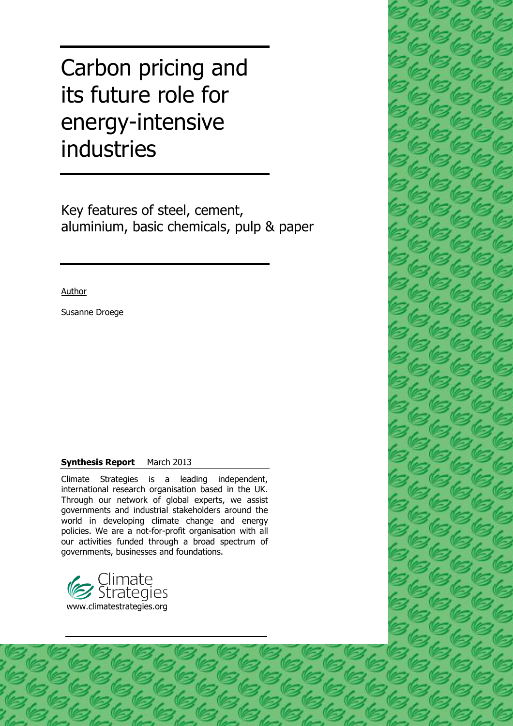# Carbon pricing and its future role for energy-intensive industries

Key features of steel, cement, aluminium, basic chemicals, pulp & paper

Author

Susanne Droege

#### **Synthesis Report** March 2013

Climate Strategies is a leading independent, international research organisation based in the UK. Through our network of global experts, we assist governments and industrial stakeholders around the world in developing climate change and energy policies. We are a not-for-profit organisation with all our activities funded through a broad spectrum of governments, businesses and foundations.



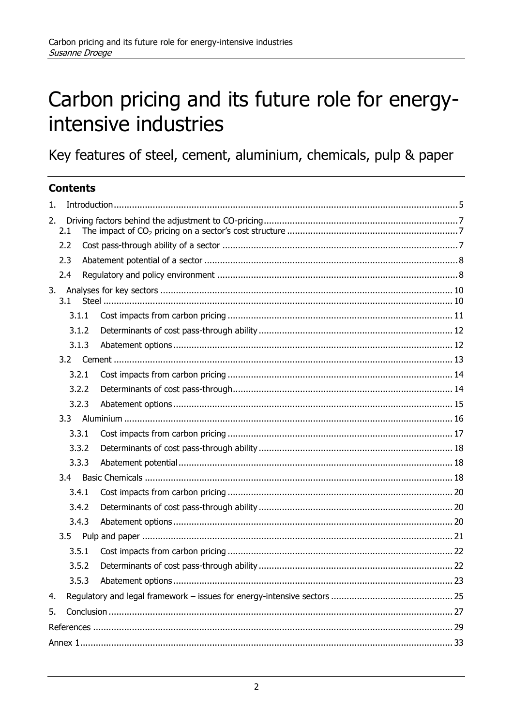# Carbon pricing and its future role for energyintensive industries

Key features of steel, cement, aluminium, chemicals, pulp & paper

## **Contents**

| 1. |       |       |  |  |  |  |  |  |  |
|----|-------|-------|--|--|--|--|--|--|--|
| 2. | 2.1   |       |  |  |  |  |  |  |  |
|    | 2.2   |       |  |  |  |  |  |  |  |
|    | 2.3   |       |  |  |  |  |  |  |  |
|    | 2.4   |       |  |  |  |  |  |  |  |
|    | 3.1   |       |  |  |  |  |  |  |  |
|    |       | 3.1.1 |  |  |  |  |  |  |  |
|    |       | 3.1.2 |  |  |  |  |  |  |  |
|    |       | 3.1.3 |  |  |  |  |  |  |  |
|    | 3.2   |       |  |  |  |  |  |  |  |
|    |       | 3.2.1 |  |  |  |  |  |  |  |
|    |       | 3.2.2 |  |  |  |  |  |  |  |
|    | 3.2.3 |       |  |  |  |  |  |  |  |
|    | 3.3   |       |  |  |  |  |  |  |  |
|    |       | 3.3.1 |  |  |  |  |  |  |  |
|    | 3.3.2 |       |  |  |  |  |  |  |  |
|    |       | 3.3.3 |  |  |  |  |  |  |  |
|    | 3.4   |       |  |  |  |  |  |  |  |
|    |       | 3.4.1 |  |  |  |  |  |  |  |
|    |       | 3.4.2 |  |  |  |  |  |  |  |
|    | 3.4.3 |       |  |  |  |  |  |  |  |
|    | 3.5   |       |  |  |  |  |  |  |  |
|    |       | 3.5.1 |  |  |  |  |  |  |  |
|    |       | 3.5.2 |  |  |  |  |  |  |  |
|    | 3.5.3 |       |  |  |  |  |  |  |  |
| 4. |       |       |  |  |  |  |  |  |  |
| 5. |       |       |  |  |  |  |  |  |  |
|    |       |       |  |  |  |  |  |  |  |
|    |       |       |  |  |  |  |  |  |  |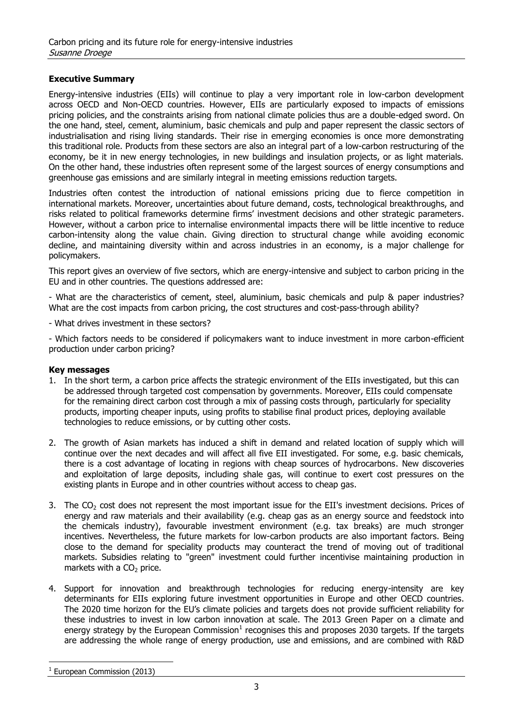#### **Executive Summary**

Energy-intensive industries (EIIs) will continue to play a very important role in low-carbon development across OECD and Non-OECD countries. However, EIIs are particularly exposed to impacts of emissions pricing policies, and the constraints arising from national climate policies thus are a double-edged sword. On the one hand, steel, cement, aluminium, basic chemicals and pulp and paper represent the classic sectors of industrialisation and rising living standards. Their rise in emerging economies is once more demonstrating this traditional role. Products from these sectors are also an integral part of a low-carbon restructuring of the economy, be it in new energy technologies, in new buildings and insulation projects, or as light materials. On the other hand, these industries often represent some of the largest sources of energy consumptions and greenhouse gas emissions and are similarly integral in meeting emissions reduction targets.

Industries often contest the introduction of national emissions pricing due to fierce competition in international markets. Moreover, uncertainties about future demand, costs, technological breakthroughs, and risks related to political frameworks determine firms' investment decisions and other strategic parameters. However, without a carbon price to internalise environmental impacts there will be little incentive to reduce carbon-intensity along the value chain. Giving direction to structural change while avoiding economic decline, and maintaining diversity within and across industries in an economy, is a major challenge for policymakers.

This report gives an overview of five sectors, which are energy-intensive and subject to carbon pricing in the EU and in other countries. The questions addressed are:

- What are the characteristics of cement, steel, aluminium, basic chemicals and pulp & paper industries? What are the cost impacts from carbon pricing, the cost structures and cost-pass-through ability?

- What drives investment in these sectors?

- Which factors needs to be considered if policymakers want to induce investment in more carbon-efficient production under carbon pricing?

#### **Key messages**

- 1. In the short term, a carbon price affects the strategic environment of the EIIs investigated, but this can be addressed through targeted cost compensation by governments. Moreover, EIIs could compensate for the remaining direct carbon cost through a mix of passing costs through, particularly for speciality products, importing cheaper inputs, using profits to stabilise final product prices, deploying available technologies to reduce emissions, or by cutting other costs.
- 2. The growth of Asian markets has induced a shift in demand and related location of supply which will continue over the next decades and will affect all five EII investigated. For some, e.g. basic chemicals, there is a cost advantage of locating in regions with cheap sources of hydrocarbons. New discoveries and exploitation of large deposits, including shale gas, will continue to exert cost pressures on the existing plants in Europe and in other countries without access to cheap gas.
- 3. The  $CO<sub>2</sub>$  cost does not represent the most important issue for the EII's investment decisions. Prices of energy and raw materials and their availability (e.g. cheap gas as an energy source and feedstock into the chemicals industry), favourable investment environment (e.g. tax breaks) are much stronger incentives. Nevertheless, the future markets for low-carbon products are also important factors. Being close to the demand for speciality products may counteract the trend of moving out of traditional markets. Subsidies relating to "green" investment could further incentivise maintaining production in markets with a  $CO<sub>2</sub>$  price.
- 4. Support for innovation and breakthrough technologies for reducing energy-intensity are key determinants for EIIs exploring future investment opportunities in Europe and other OECD countries. The 2020 time horizon for the EU's climate policies and targets does not provide sufficient reliability for these industries to invest in low carbon innovation at scale. The 2013 Green Paper on a climate and energy strategy by the European Commission<sup>1</sup> recognises this and proposes 2030 targets. If the targets are addressing the whole range of energy production, use and emissions, and are combined with R&D

<sup>&</sup>lt;sup>1</sup> European Commission (2013)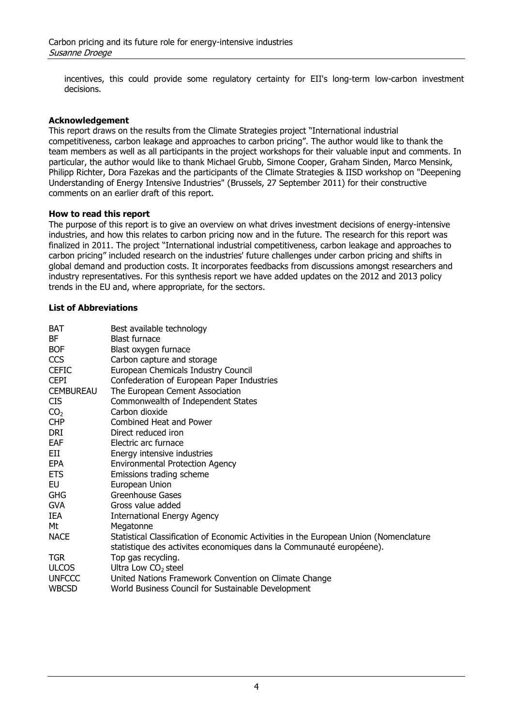incentives, this could provide some regulatory certainty for EII's long-term low-carbon investment decisions.

#### **Acknowledgement**

This report draws on the results from the Climate Strategies project "International industrial competitiveness, carbon leakage and approaches to carbon pricing". The author would like to thank the team members as well as all participants in the project workshops for their valuable input and comments. In particular, the author would like to thank Michael Grubb, Simone Cooper, Graham Sinden, Marco Mensink, Philipp Richter, Dora Fazekas and the participants of the Climate Strategies & IISD workshop on "Deepening Understanding of Energy Intensive Industries" (Brussels, 27 September 2011) for their constructive comments on an earlier draft of this report.

#### **How to read this report**

The purpose of this report is to give an overview on what drives investment decisions of energy-intensive industries, and how this relates to carbon pricing now and in the future. The research for this report was finalized in 2011. The project "International industrial competitiveness, carbon leakage and approaches to carbon pricing" included research on the industries' future challenges under carbon pricing and shifts in global demand and production costs. It incorporates feedbacks from discussions amongst researchers and industry representatives. For this synthesis report we have added updates on the 2012 and 2013 policy trends in the EU and, where appropriate, for the sectors.

#### **List of Abbreviations**

| Best available technology                                                             |
|---------------------------------------------------------------------------------------|
| <b>Blast furnace</b>                                                                  |
| Blast oxygen furnace                                                                  |
| Carbon capture and storage                                                            |
| European Chemicals Industry Council                                                   |
| Confederation of European Paper Industries                                            |
| The European Cement Association                                                       |
| Commonwealth of Independent States                                                    |
| Carbon dioxide                                                                        |
| Combined Heat and Power                                                               |
| Direct reduced iron                                                                   |
| Electric arc furnace                                                                  |
| Energy intensive industries                                                           |
| <b>Environmental Protection Agency</b>                                                |
| Emissions trading scheme                                                              |
| European Union                                                                        |
| Greenhouse Gases                                                                      |
| Gross value added                                                                     |
| <b>International Energy Agency</b>                                                    |
| Megatonne                                                                             |
| Statistical Classification of Economic Activities in the European Union (Nomenclature |
| statistique des activites economiques dans la Communauté européene).                  |
| Top gas recycling.                                                                    |
| Ultra Low $CO2$ steel                                                                 |
| United Nations Framework Convention on Climate Change                                 |
| World Business Council for Sustainable Development                                    |
|                                                                                       |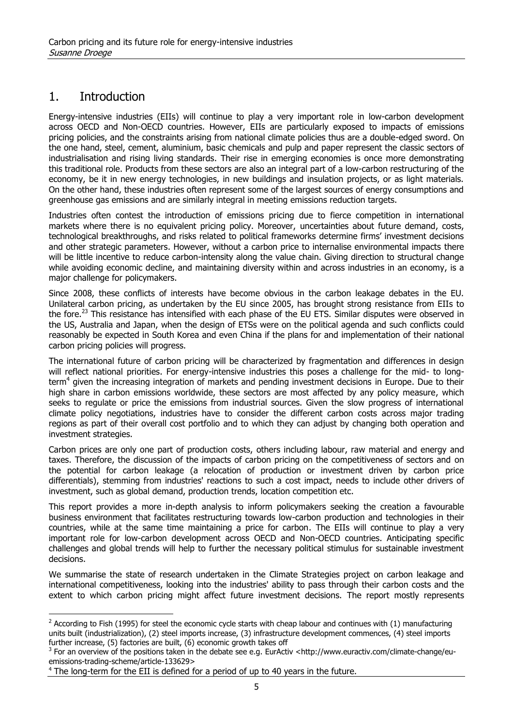# 1. Introduction

 $\overline{a}$ 

Energy-intensive industries (EIIs) will continue to play a very important role in low-carbon development across OECD and Non-OECD countries. However, EIIs are particularly exposed to impacts of emissions pricing policies, and the constraints arising from national climate policies thus are a double-edged sword. On the one hand, steel, cement, aluminium, basic chemicals and pulp and paper represent the classic sectors of industrialisation and rising living standards. Their rise in emerging economies is once more demonstrating this traditional role. Products from these sectors are also an integral part of a low-carbon restructuring of the economy, be it in new energy technologies, in new buildings and insulation projects, or as light materials. On the other hand, these industries often represent some of the largest sources of energy consumptions and greenhouse gas emissions and are similarly integral in meeting emissions reduction targets.

Industries often contest the introduction of emissions pricing due to fierce competition in international markets where there is no equivalent pricing policy. Moreover, uncertainties about future demand, costs, technological breakthroughs, and risks related to political frameworks determine firms' investment decisions and other strategic parameters. However, without a carbon price to internalise environmental impacts there will be little incentive to reduce carbon-intensity along the value chain. Giving direction to structural change while avoiding economic decline, and maintaining diversity within and across industries in an economy, is a major challenge for policymakers.

Since 2008, these conflicts of interests have become obvious in the carbon leakage debates in the EU. Unilateral carbon pricing, as undertaken by the EU since 2005, has brought strong resistance from EIIs to the fore.<sup>23</sup> This resistance has intensified with each phase of the EU ETS. Similar disputes were observed in the US, Australia and Japan, when the design of ETSs were on the political agenda and such conflicts could reasonably be expected in South Korea and even China if the plans for and implementation of their national carbon pricing policies will progress.

The international future of carbon pricing will be characterized by fragmentation and differences in design will reflect national priorities. For energy-intensive industries this poses a challenge for the mid- to longterm<sup>4</sup> given the increasing integration of markets and pending investment decisions in Europe. Due to their high share in carbon emissions worldwide, these sectors are most affected by any policy measure, which seeks to regulate or price the emissions from industrial sources. Given the slow progress of international climate policy negotiations, industries have to consider the different carbon costs across major trading regions as part of their overall cost portfolio and to which they can adjust by changing both operation and investment strategies.

Carbon prices are only one part of production costs, others including labour, raw material and energy and taxes. Therefore, the discussion of the impacts of carbon pricing on the competitiveness of sectors and on the potential for carbon leakage (a relocation of production or investment driven by carbon price differentials), stemming from industries' reactions to such a cost impact, needs to include other drivers of investment, such as global demand, production trends, location competition etc.

This report provides a more in-depth analysis to inform policymakers seeking the creation a favourable business environment that facilitates restructuring towards low-carbon production and technologies in their countries, while at the same time maintaining a price for carbon. The EIIs will continue to play a very important role for low-carbon development across OECD and Non-OECD countries. Anticipating specific challenges and global trends will help to further the necessary political stimulus for sustainable investment decisions.

We summarise the state of research undertaken in the Climate Strategies project on carbon leakage and international competitiveness, looking into the industries' ability to pass through their carbon costs and the extent to which carbon pricing might affect future investment decisions. The report mostly represents

 $2$  According to Fish (1995) for steel the economic cycle starts with cheap labour and continues with (1) manufacturing units built (industrialization), (2) steel imports increase, (3) infrastructure development commences, (4) steel imports further increase, (5) factories are built, (6) economic growth takes off

 $3$  For an overview of the positions taken in the debate see e.g. EurActiv <http://www.euractiv.com/climate-change/euemissions-trading-scheme/article-133629>

<sup>&</sup>lt;sup>4</sup> The long-term for the EII is defined for a period of up to 40 years in the future.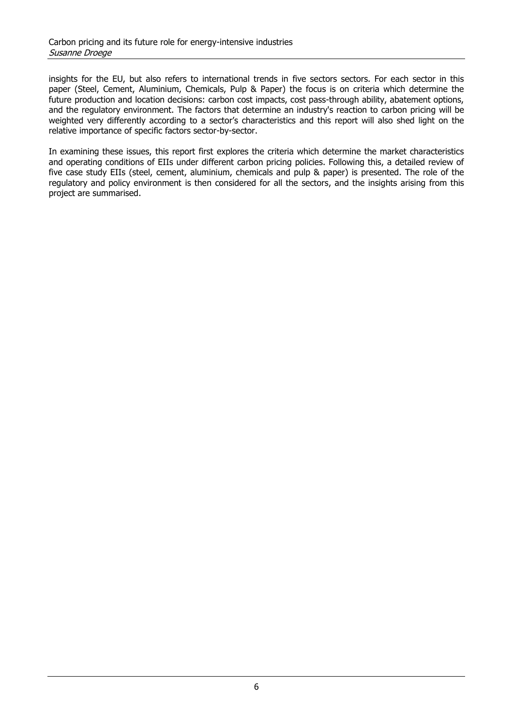insights for the EU, but also refers to international trends in five sectors sectors. For each sector in this paper (Steel, Cement, Aluminium, Chemicals, Pulp & Paper) the focus is on criteria which determine the future production and location decisions: carbon cost impacts, cost pass-through ability, abatement options, and the regulatory environment. The factors that determine an industry's reaction to carbon pricing will be weighted very differently according to a sector's characteristics and this report will also shed light on the relative importance of specific factors sector-by-sector.

In examining these issues, this report first explores the criteria which determine the market characteristics and operating conditions of EIIs under different carbon pricing policies. Following this, a detailed review of five case study EIIs (steel, cement, aluminium, chemicals and pulp & paper) is presented. The role of the regulatory and policy environment is then considered for all the sectors, and the insights arising from this project are summarised.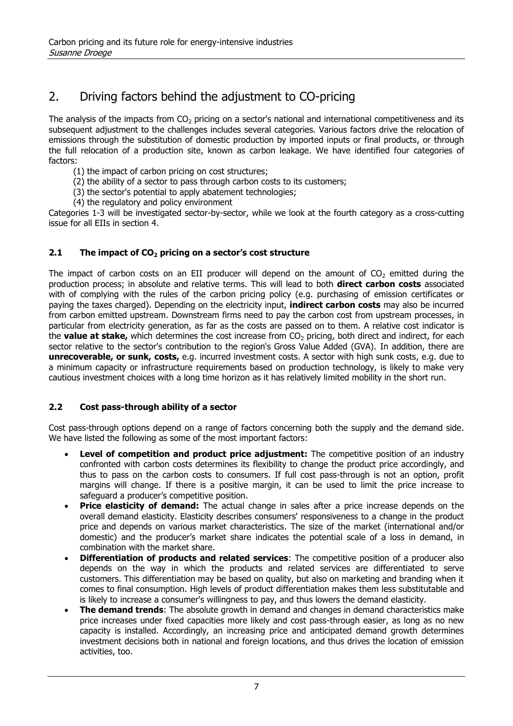# 2. Driving factors behind the adjustment to CO-pricing

The analysis of the impacts from  $CO<sub>2</sub>$  pricing on a sector's national and international competitiveness and its subsequent adjustment to the challenges includes several categories. Various factors drive the relocation of emissions through the substitution of domestic production by imported inputs or final products, or through the full relocation of a production site, known as carbon leakage. We have identified four categories of factors:

- (1) the impact of carbon pricing on cost structures;
- (2) the ability of a sector to pass through carbon costs to its customers;
- (3) the sector's potential to apply abatement technologies;
- (4) the regulatory and policy environment

Categories 1-3 will be investigated sector-by-sector, while we look at the fourth category as a cross-cutting issue for all EIIs in section 4.

## **2.1 The impact of CO<sup>2</sup> pricing on a sector's cost structure**

The impact of carbon costs on an EII producer will depend on the amount of  $CO<sub>2</sub>$  emitted during the production process; in absolute and relative terms. This will lead to both **direct carbon costs** associated with of complying with the rules of the carbon pricing policy (e.g. purchasing of emission certificates or paying the taxes charged). Depending on the electricity input, **indirect carbon costs** may also be incurred from carbon emitted upstream. Downstream firms need to pay the carbon cost from upstream processes, in particular from electricity generation, as far as the costs are passed on to them. A relative cost indicator is the **value at stake,** which determines the cost increase from CO<sub>2</sub> pricing, both direct and indirect, for each sector relative to the sector's contribution to the region's Gross Value Added (GVA). In addition, there are **unrecoverable, or sunk, costs,** e.g. incurred investment costs. A sector with high sunk costs, e.g. due to a minimum capacity or infrastructure requirements based on production technology, is likely to make very cautious investment choices with a long time horizon as it has relatively limited mobility in the short run.

## **2.2 Cost pass-through ability of a sector**

Cost pass-through options depend on a range of factors concerning both the supply and the demand side. We have listed the following as some of the most important factors:

- **Level of competition and product price adjustment:** The competitive position of an industry confronted with carbon costs determines its flexibility to change the product price accordingly, and thus to pass on the carbon costs to consumers. If full cost pass-through is not an option, profit margins will change. If there is a positive margin, it can be used to limit the price increase to safeguard a producer's competitive position.
- **Price elasticity of demand:** The actual change in sales after a price increase depends on the overall demand elasticity. Elasticity describes consumers' responsiveness to a change in the product price and depends on various market characteristics. The size of the market (international and/or domestic) and the producer's market share indicates the potential scale of a loss in demand, in combination with the market share.
- **Differentiation of products and related services**: The competitive position of a producer also depends on the way in which the products and related services are differentiated to serve customers. This differentiation may be based on quality, but also on marketing and branding when it comes to final consumption. High levels of product differentiation makes them less substitutable and is likely to increase a consumer's willingness to pay, and thus lowers the demand elasticity.
- **The demand trends**: The absolute growth in demand and changes in demand characteristics make price increases under fixed capacities more likely and cost pass-through easier, as long as no new capacity is installed. Accordingly, an increasing price and anticipated demand growth determines investment decisions both in national and foreign locations, and thus drives the location of emission activities, too.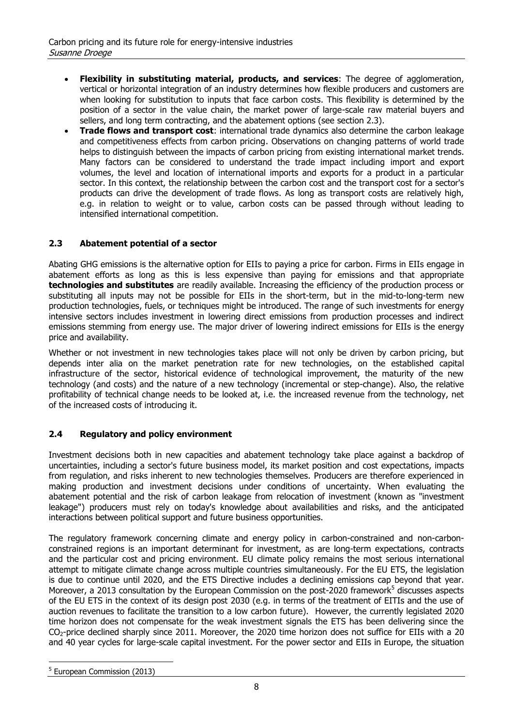- **Flexibility in substituting material, products, and services**: The degree of agglomeration, vertical or horizontal integration of an industry determines how flexible producers and customers are when looking for substitution to inputs that face carbon costs. This flexibility is determined by the position of a sector in the value chain, the market power of large-scale raw material buyers and sellers, and long term contracting, and the abatement options (see section 2.3).
- **Trade flows and transport cost**: international trade dynamics also determine the carbon leakage and competitiveness effects from carbon pricing. Observations on changing patterns of world trade helps to distinguish between the impacts of carbon pricing from existing international market trends. Many factors can be considered to understand the trade impact including import and export volumes, the level and location of international imports and exports for a product in a particular sector. In this context, the relationship between the carbon cost and the transport cost for a sector's products can drive the development of trade flows. As long as transport costs are relatively high, e.g. in relation to weight or to value, carbon costs can be passed through without leading to intensified international competition.

#### **2.3 Abatement potential of a sector**

Abating GHG emissions is the alternative option for EIIs to paying a price for carbon. Firms in EIIs engage in abatement efforts as long as this is less expensive than paying for emissions and that appropriate **technologies and substitutes** are readily available. Increasing the efficiency of the production process or substituting all inputs may not be possible for EIIs in the short-term, but in the mid-to-long-term new production technologies, fuels, or techniques might be introduced. The range of such investments for energy intensive sectors includes investment in lowering direct emissions from production processes and indirect emissions stemming from energy use. The major driver of lowering indirect emissions for EIIs is the energy price and availability.

Whether or not investment in new technologies takes place will not only be driven by carbon pricing, but depends inter alia on the market penetration rate for new technologies, on the established capital infrastructure of the sector, historical evidence of technological improvement, the maturity of the new technology (and costs) and the nature of a new technology (incremental or step-change). Also, the relative profitability of technical change needs to be looked at, i.e. the increased revenue from the technology, net of the increased costs of introducing it.

## **2.4 Regulatory and policy environment**

Investment decisions both in new capacities and abatement technology take place against a backdrop of uncertainties, including a sector's future business model, its market position and cost expectations, impacts from regulation, and risks inherent to new technologies themselves. Producers are therefore experienced in making production and investment decisions under conditions of uncertainty. When evaluating the abatement potential and the risk of carbon leakage from relocation of investment (known as "investment leakage") producers must rely on today's knowledge about availabilities and risks, and the anticipated interactions between political support and future business opportunities.

The regulatory framework concerning climate and energy policy in carbon-constrained and non-carbonconstrained regions is an important determinant for investment, as are long-term expectations, contracts and the particular cost and pricing environment. EU climate policy remains the most serious international attempt to mitigate climate change across multiple countries simultaneously. For the EU ETS, the legislation is due to continue until 2020, and the ETS Directive includes a declining emissions cap beyond that year. Moreover, a 2013 consultation by the European Commission on the post-2020 framework<sup>5</sup> discusses aspects of the EU ETS in the context of its design post 2030 (e.g. in terms of the treatment of EITIs and the use of auction revenues to facilitate the transition to a low carbon future). However, the currently legislated 2020 time horizon does not compensate for the weak investment signals the ETS has been delivering since the CO2-price declined sharply since 2011. Moreover, the 2020 time horizon does not suffice for EIIs with a 20 and 40 year cycles for large-scale capital investment. For the power sector and EIIs in Europe, the situation

 $\overline{a}$ <sup>5</sup> European Commission (2013)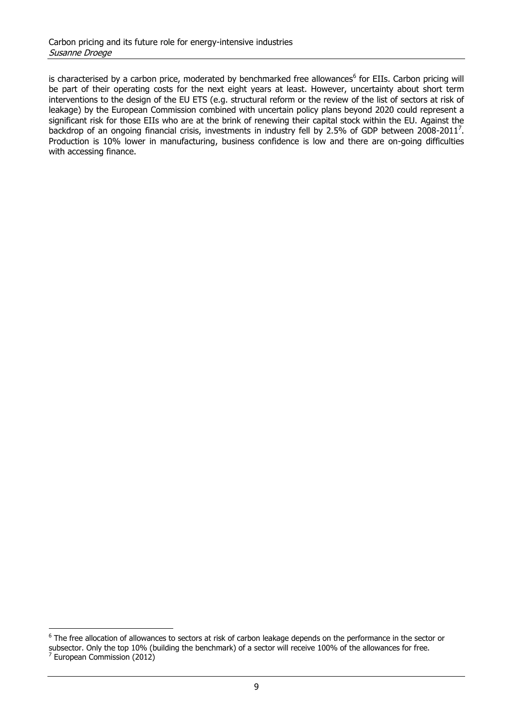is characterised by a carbon price, moderated by benchmarked free allowances<sup>6</sup> for EIIs. Carbon pricing will be part of their operating costs for the next eight years at least. However, uncertainty about short term interventions to the design of the EU ETS (e.g. structural reform or the review of the list of sectors at risk of leakage) by the European Commission combined with uncertain policy plans beyond 2020 could represent a significant risk for those EIIs who are at the brink of renewing their capital stock within the EU. Against the backdrop of an ongoing financial crisis, investments in industry fell by 2.5% of GDP between 2008-2011<sup>7</sup>. Production is 10% lower in manufacturing, business confidence is low and there are on-going difficulties with accessing finance.

<sup>&</sup>lt;sup>6</sup> The free allocation of allowances to sectors at risk of carbon leakage depends on the performance in the sector or subsector. Only the top 10% (building the benchmark) of a sector will receive 100% of the allowances for free. <sup>7</sup> European Commission (2012)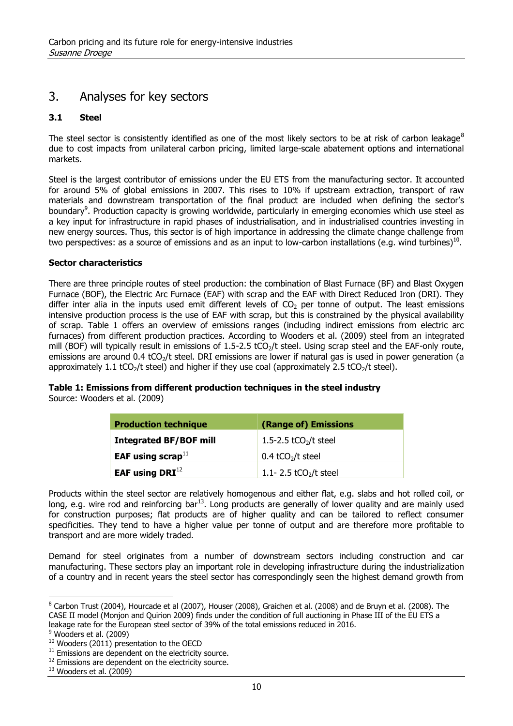## 3. Analyses for key sectors

#### **3.1 Steel**

The steel sector is consistently identified as one of the most likely sectors to be at risk of carbon leakage $8$ due to cost impacts from unilateral carbon pricing, limited large-scale abatement options and international markets.

Steel is the largest contributor of emissions under the EU ETS from the manufacturing sector. It accounted for around 5% of global emissions in 2007. This rises to 10% if upstream extraction, transport of raw materials and downstream transportation of the final product are included when defining the sector's boundary<sup>9</sup>. Production capacity is growing worldwide, particularly in emerging economies which use steel as a key input for infrastructure in rapid phases of industrialisation, and in industrialised countries investing in new energy sources. Thus, this sector is of high importance in addressing the climate change challenge from two perspectives: as a source of emissions and as an input to low-carbon installations (e.g. wind turbines)<sup>10</sup>.

#### **Sector characteristics**

There are three principle routes of steel production: the combination of Blast Furnace (BF) and Blast Oxygen Furnace (BOF), the Electric Arc Furnace (EAF) with scrap and the EAF with Direct Reduced Iron (DRI). They differ inter alia in the inputs used emit different levels of  $CO<sub>2</sub>$  per tonne of output. The least emissions intensive production process is the use of EAF with scrap, but this is constrained by the physical availability of scrap. [Table 1](#page-9-0) offers an overview of emissions ranges (including indirect emissions from electric arc furnaces) from different production practices. According to Wooders et al. (2009) steel from an integrated mill (BOF) will typically result in emissions of  $1.5$ - $2.5$  tCO<sub>2</sub>/t steel. Using scrap steel and the EAF-only route, emissions are around  $0.4$  tCO<sub>2</sub>/t steel. DRI emissions are lower if natural gas is used in power generation (a approximately 1.1 tCO<sub>2</sub>/t steel) and higher if they use coal (approximately 2.5 tCO<sub>2</sub>/t steel).

#### <span id="page-9-0"></span>**Table 1: Emissions from different production techniques in the steel industry**

Source: Wooders et al. (2009)

| <b>Production technique</b>   | (Range of) Emissions            |  |  |
|-------------------------------|---------------------------------|--|--|
| <b>Integrated BF/BOF mill</b> | 1.5-2.5 $tCO2/t$ steel          |  |  |
| EAF using scrap $^{11}$       | $0.4$ tCO <sub>2</sub> /t steel |  |  |
| EAF using $DRI12$             | 1.1-2.5 $tCO2/t$ steel          |  |  |

Products within the steel sector are relatively homogenous and either flat, e.g. slabs and hot rolled coil, or long, e.g. wire rod and reinforcing bar<sup>13</sup>. Long products are generally of lower quality and are mainly used for construction purposes; flat products are of higher quality and can be tailored to reflect consumer specificities. They tend to have a higher value per tonne of output and are therefore more profitable to transport and are more widely traded.

Demand for steel originates from a number of downstream sectors including construction and car manufacturing. These sectors play an important role in developing infrastructure during the industrialization of a country and in recent years the steel sector has correspondingly seen the highest demand growth from

 $<sup>9</sup>$  Wooders et al. (2009)</sup>

 $8$  Carbon Trust (2004), Hourcade et al (2007), Houser (2008), Graichen et al. (2008) and de Bruyn et al. (2008). The CASE II model (Monjon and Quirion 2009) finds under the condition of full auctioning in Phase III of the EU ETS a leakage rate for the European steel sector of 39% of the total emissions reduced in 2016.

 $10$  Wooders (2011) presentation to the OECD

 $11$  Emissions are dependent on the electricity source.

<sup>&</sup>lt;sup>12</sup> Emissions are dependent on the electricity source.

 $13$  Wooders et al. (2009)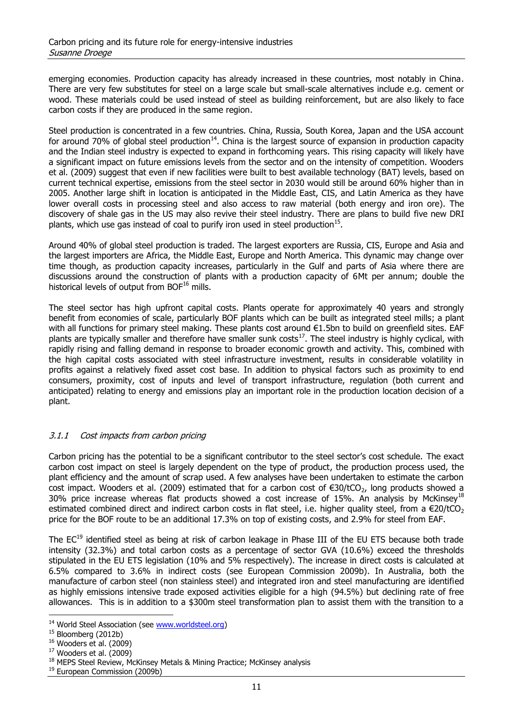emerging economies. Production capacity has already increased in these countries, most notably in China. There are very few substitutes for steel on a large scale but small-scale alternatives include e.g. cement or wood. These materials could be used instead of steel as building reinforcement, but are also likely to face carbon costs if they are produced in the same region.

Steel production is concentrated in a few countries. China, Russia, South Korea, Japan and the USA account for around 70% of global steel production<sup>14</sup>. China is the largest source of expansion in production capacity and the Indian steel industry is expected to expand in forthcoming years. This rising capacity will likely have a significant impact on future emissions levels from the sector and on the intensity of competition. Wooders et al. (2009) suggest that even if new facilities were built to best available technology (BAT) levels, based on current technical expertise, emissions from the steel sector in 2030 would still be around 60% higher than in 2005. Another large shift in location is anticipated in the Middle East, CIS, and Latin America as they have lower overall costs in processing steel and also access to raw material (both energy and iron ore). The discovery of shale gas in the US may also revive their steel industry. There are plans to build five new DRI plants, which use gas instead of coal to purify iron used in steel production $^{15}$ .

Around 40% of global steel production is traded. The largest exporters are Russia, CIS, Europe and Asia and the largest importers are Africa, the Middle East, Europe and North America. This dynamic may change over time though, as production capacity increases, particularly in the Gulf and parts of Asia where there are discussions around the construction of plants with a production capacity of 6Mt per annum; double the historical levels of output from BOF<sup>16</sup> mills.

The steel sector has high upfront capital costs. Plants operate for approximately 40 years and strongly benefit from economies of scale, particularly BOF plants which can be built as integrated steel mills; a plant with all functions for primary steel making. These plants cost around €1.5bn to build on greenfield sites. EAF plants are typically smaller and therefore have smaller sunk costs<sup>17</sup>. The steel industry is highly cyclical, with rapidly rising and falling demand in response to broader economic growth and activity. This, combined with the high capital costs associated with steel infrastructure investment, results in considerable volatility in profits against a relatively fixed asset cost base. In addition to physical factors such as proximity to end consumers, proximity, cost of inputs and level of transport infrastructure, regulation (both current and anticipated) relating to energy and emissions play an important role in the production location decision of a plant.

#### 3.1.1 Cost impacts from carbon pricing

Carbon pricing has the potential to be a significant contributor to the steel sector's cost schedule. The exact carbon cost impact on steel is largely dependent on the type of product, the production process used, the plant efficiency and the amount of scrap used. A few analyses have been undertaken to estimate the carbon cost impact. Wooders et al. (2009) estimated that for a carbon cost of  $\epsilon$ 30/tCO<sub>2</sub>, long products showed a 30% price increase whereas flat products showed a cost increase of 15%. An analysis by McKinsey<sup>18</sup> estimated combined direct and indirect carbon costs in flat steel, i.e. higher quality steel, from a  $\epsilon$ 20/tCO<sub>2</sub> price for the BOF route to be an additional 17.3% on top of existing costs, and 2.9% for steel from EAF.

The EC<sup>19</sup> identified steel as being at risk of carbon leakage in Phase III of the EU ETS because both trade intensity (32.3%) and total carbon costs as a percentage of sector GVA (10.6%) exceed the thresholds stipulated in the EU ETS legislation (10% and 5% respectively). The increase in direct costs is calculated at 6.5% compared to 3.6% in indirect costs (see European Commission 2009b). In Australia, both the manufacture of carbon steel (non stainless steel) and integrated iron and steel manufacturing are identified as highly emissions intensive trade exposed activities eligible for a high (94.5%) but declining rate of free allowances. This is in addition to a \$300m steel transformation plan to assist them with the transition to a

<sup>&</sup>lt;sup>14</sup> World Steel Association (see [www.worldsteel.org\)](http://www.worldsteel.org/)

<sup>&</sup>lt;sup>15</sup> Bloomberg (2012b)

 $16$  Wooders et al. (2009)

 $17$  Wooders et al. (2009)

<sup>&</sup>lt;sup>18</sup> MEPS Steel Review, McKinsey Metals & Mining Practice; McKinsey analysis

<sup>&</sup>lt;sup>19</sup> European Commission (2009b)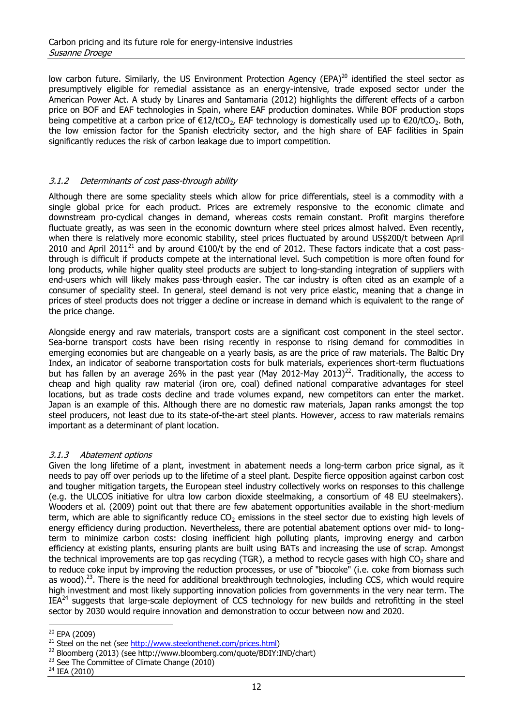low carbon future. Similarly, the US Environment Protection Agency (EPA) $^{20}$  identified the steel sector as presumptively eligible for remedial assistance as an energy-intensive, trade exposed sector under the American Power Act. A study by Linares and Santamaria (2012) highlights the different effects of a carbon price on BOF and EAF technologies in Spain, where EAF production dominates. While BOF production stops being competitive at a carbon price of  $\epsilon$ 12/tCO<sub>2</sub>, EAF technology is domestically used up to  $\epsilon$ 20/tCO<sub>2</sub>. Both, the low emission factor for the Spanish electricity sector, and the high share of EAF facilities in Spain significantly reduces the risk of carbon leakage due to import competition.

#### 3.1.2 Determinants of cost pass-through ability

Although there are some speciality steels which allow for price differentials, steel is a commodity with a single global price for each product. Prices are extremely responsive to the economic climate and downstream pro-cyclical changes in demand, whereas costs remain constant. Profit margins therefore fluctuate greatly, as was seen in the economic downturn where steel prices almost halved. Even recently, when there is relatively more economic stability, steel prices fluctuated by around US\$200/t between April 2010 and April 2011<sup>21</sup> and by around  $\epsilon$ 100/t by the end of 2012. These factors indicate that a cost passthrough is difficult if products compete at the international level. Such competition is more often found for long products, while higher quality steel products are subject to long-standing integration of suppliers with end-users which will likely makes pass-through easier. The car industry is often cited as an example of a consumer of speciality steel. In general, steel demand is not very price elastic, meaning that a change in prices of steel products does not trigger a decline or increase in demand which is equivalent to the range of the price change.

Alongside energy and raw materials, transport costs are a significant cost component in the steel sector. Sea-borne transport costs have been rising recently in response to rising demand for commodities in emerging economies but are changeable on a yearly basis, as are the price of raw materials. The Baltic Dry Index, an indicator of seaborne transportation costs for bulk materials, experiences short-term fluctuations but has fallen by an average 26% in the past year (May 2012-May 2013)<sup>22</sup>. Traditionally, the access to cheap and high quality raw material (iron ore, coal) defined national comparative advantages for steel locations, but as trade costs decline and trade volumes expand, new competitors can enter the market. Japan is an example of this. Although there are no domestic raw materials, Japan ranks amongst the top steel producers, not least due to its state-of-the-art steel plants. However, access to raw materials remains important as a determinant of plant location.

#### 3.1.3 Abatement options

Given the long lifetime of a plant, investment in abatement needs a long-term carbon price signal, as it needs to pay off over periods up to the lifetime of a steel plant. Despite fierce opposition against carbon cost and tougher mitigation targets, the European steel industry collectively works on responses to this challenge (e.g. the ULCOS initiative for ultra low carbon dioxide steelmaking, a consortium of 48 EU steelmakers). Wooders et al. (2009) point out that there are few abatement opportunities available in the short-medium term, which are able to significantly reduce  $CO<sub>2</sub>$  emissions in the steel sector due to existing high levels of energy efficiency during production. Nevertheless, there are potential abatement options over mid- to longterm to minimize carbon costs: closing inefficient high polluting plants, improving energy and carbon efficiency at existing plants, ensuring plants are built using BATs and increasing the use of scrap. Amongst the technical improvements are top gas recycling (TGR), a method to recycle gases with high  $CO<sub>2</sub>$  share and to reduce coke input by improving the reduction processes, or use of "biocoke" (i.e. coke from biomass such as wood).<sup>23</sup>. There is the need for additional breakthrough technologies, including CCS, which would require high investment and most likely supporting innovation policies from governments in the very near term. The  $IEA<sup>24</sup>$  suggests that large-scale deployment of CCS technology for new builds and retrofitting in the steel sector by 2030 would require innovation and demonstration to occur between now and 2020.

 $\overline{a}$ <sup>20</sup> EPA (2009)

 $21$  Steel on the net (see [http://www.steelonthenet.com/prices.html\)](http://www.steelonthenet.com/prices.html)

<sup>22</sup> Bloomberg (2013) (see http://www.bloomberg.com/quote/BDIY:IND/chart)

<sup>&</sup>lt;sup>23</sup> See The Committee of Climate Change (2010)

<sup>24</sup> IEA (2010)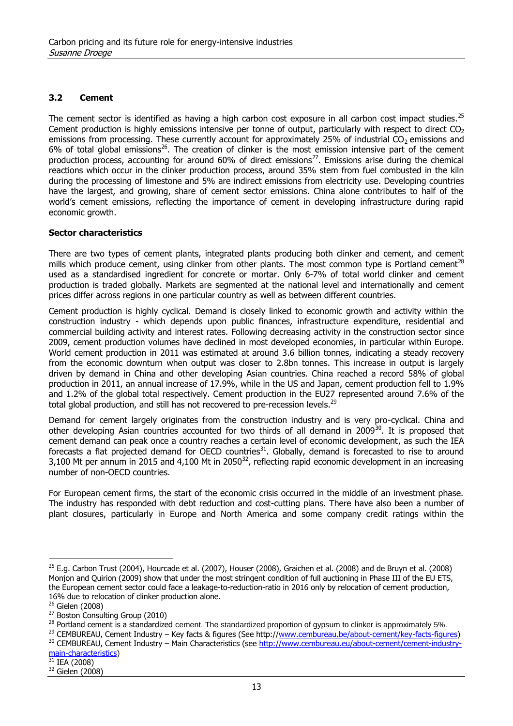#### **3.2 Cement**

The cement sector is identified as having a high carbon cost exposure in all carbon cost impact studies.<sup>25</sup> Cement production is highly emissions intensive per tonne of output, particularly with respect to direct  $CO<sub>2</sub>$ emissions from processing. These currently account for approximately 25% of industrial  $CO<sub>2</sub>$  emissions and 6% of total global emissions<sup>26</sup>. The creation of clinker is the most emission intensive part of the cement production process, accounting for around 60% of direct emissions<sup>27</sup>. Emissions arise during the chemical reactions which occur in the clinker production process, around 35% stem from fuel combusted in the kiln during the processing of limestone and 5% are indirect emissions from electricity use. Developing countries have the largest, and growing, share of cement sector emissions. China alone contributes to half of the world's cement emissions, reflecting the importance of cement in developing infrastructure during rapid economic growth.

#### **Sector characteristics**

There are two types of cement plants, integrated plants producing both clinker and cement, and cement mills which produce cement, using clinker from other plants. The most common type is Portland cement<sup>28</sup> used as a standardised ingredient for concrete or mortar. Only 6-7% of total world clinker and cement production is traded globally. Markets are segmented at the national level and internationally and cement prices differ across regions in one particular country as well as between different countries.

Cement production is highly cyclical. Demand is closely linked to economic growth and activity within the construction industry - which depends upon public finances, infrastructure expenditure, residential and commercial building activity and interest rates. Following decreasing activity in the construction sector since 2009, cement production volumes have declined in most developed economies, in particular within Europe. World cement production in 2011 was estimated at around 3.6 billion tonnes, indicating a steady recovery from the economic downturn when output was closer to 2.8bn tonnes. This increase in output is largely driven by demand in China and other developing Asian countries. China reached a record 58% of global production in 2011, an annual increase of 17.9%, while in the US and Japan, cement production fell to 1.9% and 1.2% of the global total respectively. Cement production in the EU27 represented around 7.6% of the total global production, and still has not recovered to pre-recession levels.<sup>29</sup>

Demand for cement largely originates from the construction industry and is very pro-cyclical. China and other developing Asian countries accounted for two thirds of all demand in 2009<sup>30</sup>. It is proposed that cement demand can peak once a country reaches a certain level of economic development, as such the IEA forecasts a flat projected demand for OECD countries<sup>31</sup>. Globally, demand is forecasted to rise to around 3,100 Mt per annum in 2015 and 4,100 Mt in 2050<sup>32</sup>, reflecting rapid economic development in an increasing number of non-OECD countries.

For European cement firms, the start of the economic crisis occurred in the middle of an investment phase. The industry has responded with debt reduction and cost-cutting plans. There have also been a number of plant closures, particularly in Europe and North America and some company credit ratings within the

 $25$  E.g. Carbon Trust (2004), Hourcade et al. (2007), Houser (2008), Graichen et al. (2008) and de Bruyn et al. (2008) Monjon and Quirion (2009) show that under the most stringent condition of full auctioning in Phase III of the EU ETS, the European cement sector could face a leakage-to-reduction-ratio in 2016 only by relocation of cement production, 16% due to relocation of clinker production alone.

 $26$  Gielen (2008)

<sup>27</sup> Boston Consulting Group (2010)

<sup>&</sup>lt;sup>28</sup> Portland cement is a standardized cement. The standardized proportion of gypsum to clinker is approximately 5%.

<sup>&</sup>lt;sup>29</sup> CEMBUREAU, Cement Industry – Key facts & figures (See http:/[/www.cembureau.be/about-cement/key-facts-figures\)](http://www.cembureau.be/about-cement/key-facts-figures)

<sup>30</sup> CEMBUREAU, Cement Industry – Main Characteristics (see [http://www.cembureau.eu/about-cement/cement-industry](http://www.cembureau.eu/about-cement/cement-industry-main-characteristics)[main-characteristics\)](http://www.cembureau.eu/about-cement/cement-industry-main-characteristics)

 $31$  IEA (2008)

<sup>32</sup> Gielen (2008)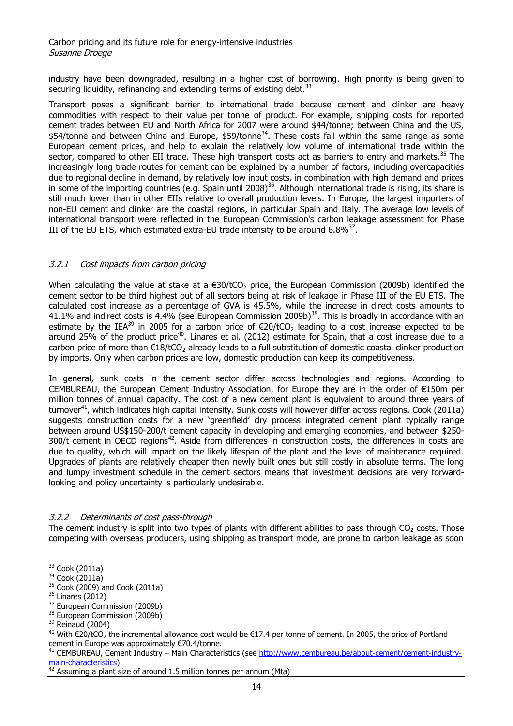industry have been downgraded, resulting in a higher cost of borrowing. High priority is being given to securing liquidity, refinancing and extending terms of existing debt.<sup>33</sup>

Transport poses a significant barrier to international trade because cement and clinker are heavy commodities with respect to their value per tonne of product. For example, shipping costs for reported cement trades between EU and North Africa for 2007 were around \$44/tonne; between China and the US, \$54/tonne and between China and Europe, \$59/tonne<sup>34</sup>. These costs fall within the same range as some European cement prices, and help to explain the relatively low volume of international trade within the sector, compared to other EII trade. These high transport costs act as barriers to entry and markets.<sup>35</sup> The increasingly long trade routes for cement can be explained by a number of factors, including overcapacities due to regional decline in demand, by relatively low input costs, in combination with high demand and prices in some of the importing countries (e.g. Spain until 2008)<sup>36</sup>. Although international trade is rising, its share is still much lower than in other EIIs relative to overall production levels. In Europe, the largest importers of non-EU cement and clinker are the coastal regions, in particular Spain and Italy. The average low levels of international transport were reflected in the European Commission's carbon leakage assessment for Phase III of the EU ETS, which estimated extra-EU trade intensity to be around  $6.8\%^{37}$ .

#### 3.2.1 Cost impacts from carbon pricing

When calculating the value at stake at a  $\epsilon$ 30/tCO<sub>2</sub> price, the European Commission (2009b) identified the cement sector to be third highest out of all sectors being at risk of leakage in Phase III of the EU ETS. The calculated cost increase as a percentage of GVA is 45.5%, while the increase in direct costs amounts to 41.1% and indirect costs is 4.4% (see European Commission 2009b)<sup>38</sup>. This is broadly in accordance with an estimate by the IEA<sup>39</sup> in 2005 for a carbon price of  $\epsilon$ 20/tCO<sub>2</sub> leading to a cost increase expected to be around 25% of the product price<sup>40</sup>. Linares et al. (2012) estimate for Spain, that a cost increase due to a carbon price of more than  $\epsilon 18/tCO_2$  already leads to a full substitution of domestic coastal clinker production by imports. Only when carbon prices are low, domestic production can keep its competitiveness.

In general, sunk costs in the cement sector differ across technologies and regions. According to CEMBUREAU, the European Cement Industry Association, for Europe they are in the order of €150m per million tonnes of annual capacity. The cost of a new cement plant is equivalent to around three years of turnover<sup>41</sup>, which indicates high capital intensity. Sunk costs will however differ across regions. Cook (2011a) suggests construction costs for a new 'greenfield' dry process integrated cement plant typically range between around US\$150-200/t cement capacity in developing and emerging economies, and between \$250- 300/t cement in OECD regions<sup>42</sup>. Aside from differences in construction costs, the differences in costs are due to quality, which will impact on the likely lifespan of the plant and the level of maintenance required. Upgrades of plants are relatively cheaper then newly built ones but still costly in absolute terms. The long and lumpy investment schedule in the cement sectors means that investment decisions are very forwardlooking and policy uncertainty is particularly undesirable.

#### 3.2.2 Determinants of cost pass-through

The cement industry is split into two types of plants with different abilities to pass through  $CO<sub>2</sub>$  costs. Those competing with overseas producers, using shipping as transport mode, are prone to carbon leakage as soon

<sup>33</sup> Cook (2011a)

<sup>34</sup> Cook (2011a)

 $35$  Cook (2009) and Cook (2011a)

<sup>36</sup> Linares (2012)

<sup>&</sup>lt;sup>37</sup> European Commission (2009b)

<sup>&</sup>lt;sup>38</sup> European Commission (2009b)

 $39$  Reinaud (2004)

<sup>&</sup>lt;sup>40</sup> With €20/tCO<sub>2</sub> the incremental allowance cost would be €17.4 per tonne of cement. In 2005, the price of Portland cement in Europe was approximately €70.4/tonne.

<sup>&</sup>lt;sup>41</sup> CEMBUREAU, Cement Industry – Main Characteristics (see [http://www.cembureau.be/about-cement/cement-industry](http://www.cembureau.be/about-cement/cement-industry-main-characteristics)[main-characteristics\)](http://www.cembureau.be/about-cement/cement-industry-main-characteristics)

 $42$  Assuming a plant size of around 1.5 million tonnes per annum (Mta)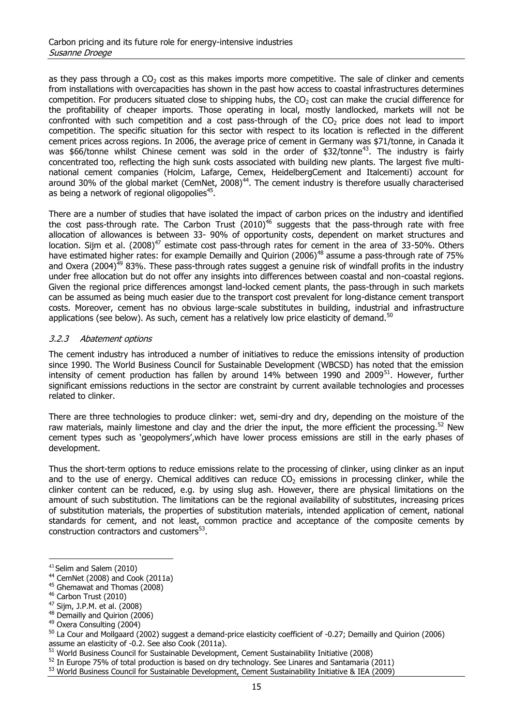as they pass through a  $CO<sub>2</sub>$  cost as this makes imports more competitive. The sale of clinker and cements from installations with overcapacities has shown in the past how access to coastal infrastructures determines competition. For producers situated close to shipping hubs, the  $CO<sub>2</sub>$  cost can make the crucial difference for the profitability of cheaper imports. Those operating in local, mostly landlocked, markets will not be confronted with such competition and a cost pass-through of the  $CO<sub>2</sub>$  price does not lead to import competition. The specific situation for this sector with respect to its location is reflected in the different cement prices across regions. In 2006, the average price of cement in Germany was \$71/tonne, in Canada it was \$66/tonne whilst Chinese cement was sold in the order of \$32/tonne<sup>43</sup>. The industry is fairly concentrated too, reflecting the high sunk costs associated with building new plants. The largest five multinational cement companies (Holcim, Lafarge, Cemex, HeidelbergCement and Italcementi) account for around 30% of the global market (CemNet, 2008) $^{44}$ . The cement industry is therefore usually characterised as being a network of regional oligopolies $^{45}$ .

There are a number of studies that have isolated the impact of carbon prices on the industry and identified the cost pass-through rate. The Carbon Trust  $(2010)^{46}$  suggests that the pass-through rate with free allocation of allowances is between 33- 90% of opportunity costs, dependent on market structures and location. Sijm et al.  $(2008)^{47}$  estimate cost pass-through rates for cement in the area of 33-50%. Others have estimated higher rates: for example Demailly and Quirion (2006)<sup>48</sup> assume a pass-through rate of 75% and Oxera (2004)<sup>49</sup> 83%. These pass-through rates suggest a genuine risk of windfall profits in the industry under free allocation but do not offer any insights into differences between coastal and non-coastal regions. Given the regional price differences amongst land-locked cement plants, the pass-through in such markets can be assumed as being much easier due to the transport cost prevalent for long-distance cement transport costs. Moreover, cement has no obvious large-scale substitutes in building, industrial and infrastructure applications (see below). As such, cement has a relatively low price elasticity of demand.<sup>50</sup>

#### 3.2.3 Abatement options

The cement industry has introduced a number of initiatives to reduce the emissions intensity of production since 1990. The World Business Council for Sustainable Development (WBCSD) has noted that the emission intensity of cement production has fallen by around 14% between 1990 and 2009<sup>51</sup>. However, further significant emissions reductions in the sector are constraint by current available technologies and processes related to clinker.

There are three technologies to produce clinker: wet, semi-dry and dry, depending on the moisture of the raw materials, mainly limestone and clay and the drier the input, the more efficient the processing.<sup>52</sup> New cement types such as 'geopolymers',which have lower process emissions are still in the early phases of development.

Thus the short-term options to reduce emissions relate to the processing of clinker, using clinker as an input and to the use of energy. Chemical additives can reduce  $CO<sub>2</sub>$  emissions in processing clinker, while the clinker content can be reduced, e.g. by using slug ash. However, there are physical limitations on the amount of such substitution. The limitations can be the regional availability of substitutes, increasing prices of substitution materials, the properties of substitution materials, intended application of cement, national standards for cement, and not least, common practice and acceptance of the composite cements by construction contractors and customers<sup>53</sup>.

 $\overline{a}$ 

<sup>48</sup> Demailly and Quirion (2006)

<sup>43</sup> Selim and Salem (2010)

<sup>44</sup> CemNet (2008) and Cook (2011a)

<sup>&</sup>lt;sup>45</sup> Ghemawat and Thomas (2008)

<sup>46</sup> Carbon Trust (2010)

<sup>47</sup> Sijm, J.P.M. et al. (2008)

<sup>49</sup> Oxera Consulting (2004)

 $50$  La Cour and Mollgaard (2002) suggest a demand-price elasticity coefficient of -0.27; Demailly and Quirion (2006) assume an elasticity of -0.2. See also Cook (2011a).

 $51$  World Business Council for Sustainable Development, Cement Sustainability Initiative (2008)

 $52$  In Europe 75% of total production is based on dry technology. See Linares and Santamaria (2011)

<sup>53</sup> World Business Council for Sustainable Development, Cement Sustainability Initiative & IEA (2009)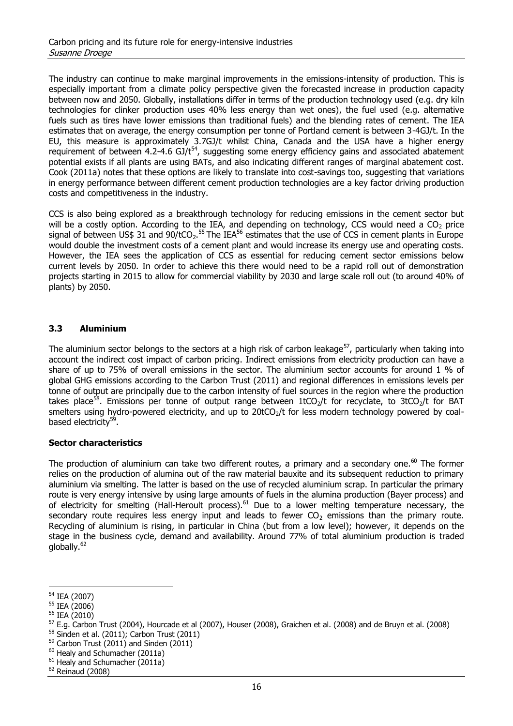The industry can continue to make marginal improvements in the emissions-intensity of production. This is especially important from a climate policy perspective given the forecasted increase in production capacity between now and 2050. Globally, installations differ in terms of the production technology used (e.g. dry kiln technologies for clinker production uses 40% less energy than wet ones), the fuel used (e.g. alternative fuels such as tires have lower emissions than traditional fuels) and the blending rates of cement. The IEA estimates that on average, the energy consumption per tonne of Portland cement is between 3-4GJ/t. In the EU, this measure is approximately 3.7GJ/t whilst China, Canada and the USA have a higher energy requirement of between 4.2-4.6 GJ/t<sup>54</sup>, suggesting some energy efficiency gains and associated abatement potential exists if all plants are using BATs, and also indicating different ranges of marginal abatement cost. Cook (2011a) notes that these options are likely to translate into cost-savings too, suggesting that variations in energy performance between different cement production technologies are a key factor driving production costs and competitiveness in the industry.

CCS is also being explored as a breakthrough technology for reducing emissions in the cement sector but will be a costly option. According to the IEA, and depending on technology, CCS would need a CO<sub>2</sub> price signal of between US\$ 31 and 90/tCO<sub>2</sub>.<sup>55</sup> The IEA<sup>56</sup> estimates that the use of CCS in cement plants in Europe would double the investment costs of a cement plant and would increase its energy use and operating costs. However, the IEA sees the application of CCS as essential for reducing cement sector emissions below current levels by 2050. In order to achieve this there would need to be a rapid roll out of demonstration projects starting in 2015 to allow for commercial viability by 2030 and large scale roll out (to around 40% of plants) by 2050.

#### **3.3 Aluminium**

The aluminium sector belongs to the sectors at a high risk of carbon leakage<sup>57</sup>, particularly when taking into account the indirect cost impact of carbon pricing. Indirect emissions from electricity production can have a share of up to 75% of overall emissions in the sector. The aluminium sector accounts for around 1 % of global GHG emissions according to the Carbon Trust (2011) and regional differences in emissions levels per tonne of output are principally due to the carbon intensity of fuel sources in the region where the production takes place<sup>58</sup>. Emissions per tonne of output range between 1tCO<sub>2</sub>/t for recyclate, to 3tCO<sub>2</sub>/t for BAT smelters using hydro-powered electricity, and up to  $20tCO<sub>2</sub>/t$  for less modern technology powered by coalbased electricity<sup>59</sup>.

#### **Sector characteristics**

The production of aluminium can take two different routes, a primary and a secondary one.<sup>60</sup> The former relies on the production of alumina out of the raw material bauxite and its subsequent reduction to primary aluminium via smelting. The latter is based on the use of recycled aluminium scrap. In particular the primary route is very energy intensive by using large amounts of fuels in the alumina production (Bayer process) and of electricity for smelting (Hall-Heroult process).<sup>61</sup> Due to a lower melting temperature necessary, the secondary route requires less energy input and leads to fewer  $CO<sub>2</sub>$  emissions than the primary route. Recycling of aluminium is rising, in particular in China (but from a low level); however, it depends on the stage in the business cycle, demand and availability. Around 77% of total aluminium production is traded globally.<sup>62</sup>

 $\overline{a}$ <sup>54</sup> IEA (2007)

<sup>55</sup> IEA (2006)

<sup>56</sup> IEA (2010)

<sup>57</sup> E.g. Carbon Trust (2004), Hourcade et al (2007), Houser (2008), Graichen et al. (2008) and de Bruyn et al. (2008) 58 Sinden et al. (2011); Carbon Trust (2011)

 $59$  Carbon Trust (2011) and Sinden (2011)

<sup>&</sup>lt;sup>60</sup> Healy and Schumacher (2011a)

<sup>&</sup>lt;sup>61</sup> Healy and Schumacher (2011a)

 $62$  Reinaud (2008)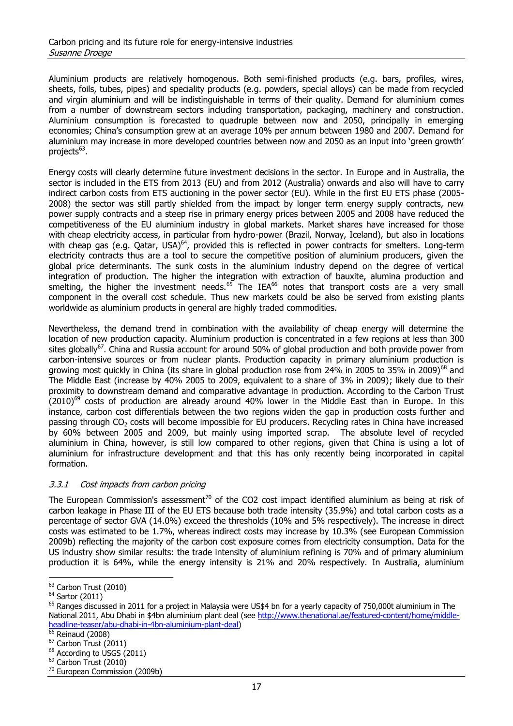Aluminium products are relatively homogenous. Both semi-finished products (e.g. bars, profiles, wires, sheets, foils, tubes, pipes) and speciality products (e.g. powders, special alloys) can be made from recycled and virgin aluminium and will be indistinguishable in terms of their quality. Demand for aluminium comes from a number of downstream sectors including transportation, packaging, machinery and construction. Aluminium consumption is forecasted to quadruple between now and 2050, principally in emerging economies; China's consumption grew at an average 10% per annum between 1980 and 2007. Demand for aluminium may increase in more developed countries between now and 2050 as an input into 'green growth' projects<sup>63</sup>.

Energy costs will clearly determine future investment decisions in the sector. In Europe and in Australia, the sector is included in the ETS from 2013 (EU) and from 2012 (Australia) onwards and also will have to carry indirect carbon costs from ETS auctioning in the power sector (EU). While in the first EU ETS phase (2005- 2008) the sector was still partly shielded from the impact by longer term energy supply contracts, new power supply contracts and a steep rise in primary energy prices between 2005 and 2008 have reduced the competitiveness of the EU aluminium industry in global markets. Market shares have increased for those with cheap electricity access, in particular from hydro-power (Brazil, Norway, Iceland), but also in locations with cheap gas (e.g. Qatar, USA)<sup>64</sup>, provided this is reflected in power contracts for smelters. Long-term electricity contracts thus are a tool to secure the competitive position of aluminium producers, given the global price determinants. The sunk costs in the aluminium industry depend on the degree of vertical integration of production. The higher the integration with extraction of bauxite, alumina production and smelting, the higher the investment needs. $65$  The IEA $66$  notes that transport costs are a very small component in the overall cost schedule. Thus new markets could be also be served from existing plants worldwide as aluminium products in general are highly traded commodities.

Nevertheless, the demand trend in combination with the availability of cheap energy will determine the location of new production capacity. Aluminium production is concentrated in a few regions at less than 300 sites globally<sup>67</sup>. China and Russia account for around 50% of global production and both provide power from carbon-intensive sources or from nuclear plants. Production capacity in primary aluminium production is growing most quickly in China (its share in global production rose from 24% in 2005 to 35% in 2009)<sup>68</sup> and The Middle East (increase by 40% 2005 to 2009, equivalent to a share of 3% in 2009); likely due to their proximity to downstream demand and comparative advantage in production. According to the Carbon Trust  $(2010)$ <sup>69</sup> costs of production are already around 40% lower in the Middle East than in Europe. In this instance, carbon cost differentials between the two regions widen the gap in production costs further and passing through CO<sub>2</sub> costs will become impossible for EU producers. Recycling rates in China have increased by 60% between 2005 and 2009, but mainly using imported scrap. The absolute level of recycled aluminium in China, however, is still low compared to other regions, given that China is using a lot of aluminium for infrastructure development and that this has only recently being incorporated in capital formation.

#### 3.3.1 Cost impacts from carbon pricing

The European Commission's assessment<sup>70</sup> of the CO2 cost impact identified aluminium as being at risk of carbon leakage in Phase III of the EU ETS because both trade intensity (35.9%) and total carbon costs as a percentage of sector GVA (14.0%) exceed the thresholds (10% and 5% respectively). The increase in direct costs was estimated to be 1.7%, whereas indirect costs may increase by 10.3% (see European Commission 2009b) reflecting the majority of the carbon cost exposure comes from electricity consumption. Data for the US industry show similar results: the trade intensity of aluminium refining is 70% and of primary aluminium production it is 64%, while the energy intensity is 21% and 20% respectively. In Australia, aluminium

<sup>&</sup>lt;sup>63</sup> Carbon Trust (2010)

<sup>64</sup> Sartor (2011)

 $65$  Ranges discussed in 2011 for a project in Malaysia were US\$4 bn for a yearly capacity of 750,000t aluminium in The National 2011, Abu Dhabi in \$4bn aluminium plant deal (see [http://www.thenational.ae/featured-content/home/middle](http://www.thenational.ae/featured-content/home/middle-headline-teaser/abu-dhabi-in-4bn-aluminium-plant-deal)[headline-teaser/abu-dhabi-in-4bn-aluminium-plant-deal\)](http://www.thenational.ae/featured-content/home/middle-headline-teaser/abu-dhabi-in-4bn-aluminium-plant-deal)

<sup>&</sup>lt;sup>66</sup> Reinaud (2008)

 $67$  Carbon Trust (2011)

<sup>&</sup>lt;sup>68</sup> According to USGS (2011)

<sup>&</sup>lt;sup>69</sup> Carbon Trust (2010)

<sup>70</sup> European Commission (2009b)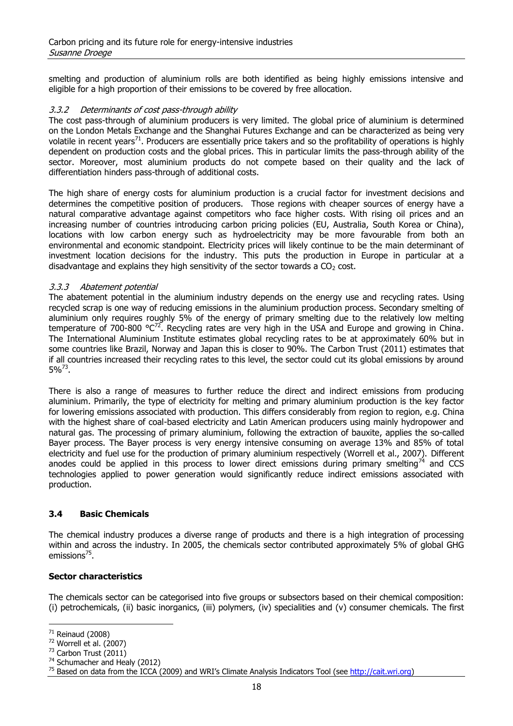smelting and production of aluminium rolls are both identified as being highly emissions intensive and eligible for a high proportion of their emissions to be covered by free allocation.

#### 3.3.2 Determinants of cost pass-through ability

The cost pass-through of aluminium producers is very limited. The global price of aluminium is determined on the London Metals Exchange and the Shanghai Futures Exchange and can be characterized as being very volatile in recent years<sup>71</sup>. Producers are essentially price takers and so the profitability of operations is highly dependent on production costs and the global prices. This in particular limits the pass-through ability of the sector. Moreover, most aluminium products do not compete based on their quality and the lack of differentiation hinders pass-through of additional costs.

The high share of energy costs for aluminium production is a crucial factor for investment decisions and determines the competitive position of producers. Those regions with cheaper sources of energy have a natural comparative advantage against competitors who face higher costs. With rising oil prices and an increasing number of countries introducing carbon pricing policies (EU, Australia, South Korea or China), locations with low carbon energy such as hydroelectricity may be more favourable from both an environmental and economic standpoint. Electricity prices will likely continue to be the main determinant of investment location decisions for the industry. This puts the production in Europe in particular at a disadvantage and explains they high sensitivity of the sector towards a  $CO<sub>2</sub>$  cost.

#### 3.3.3 Abatement potential

The abatement potential in the aluminium industry depends on the energy use and recycling rates. Using recycled scrap is one way of reducing emissions in the aluminium production process. Secondary smelting of aluminium only requires roughly 5% of the energy of primary smelting due to the relatively low melting temperature of 700-800  $^{\circ}C^{72}$ . Recycling rates are very high in the USA and Europe and growing in China. The International Aluminium Institute estimates global recycling rates to be at approximately 60% but in some countries like Brazil, Norway and Japan this is closer to 90%. The Carbon Trust (2011) estimates that if all countries increased their recycling rates to this level, the sector could cut its global emissions by around  $5\%^{73}$ .

There is also a range of measures to further reduce the direct and indirect emissions from producing aluminium. Primarily, the type of electricity for melting and primary aluminium production is the key factor for lowering emissions associated with production. This differs considerably from region to region, e.g. China with the highest share of coal-based electricity and Latin American producers using mainly hydropower and natural gas. The processing of primary aluminium, following the extraction of bauxite, applies the so-called Bayer process. The Bayer process is very energy intensive consuming on average 13% and 85% of total electricity and fuel use for the production of primary aluminium respectively (Worrell et al., 2007). Different anodes could be applied in this process to lower direct emissions during primary smelting<sup>74</sup> and CCS technologies applied to power generation would significantly reduce indirect emissions associated with production.

#### **3.4 Basic Chemicals**

The chemical industry produces a diverse range of products and there is a high integration of processing within and across the industry. In 2005, the chemicals sector contributed approximately 5% of global GHG emissions<sup>75</sup>.

#### **Sector characteristics**

The chemicals sector can be categorised into five groups or subsectors based on their chemical composition: (i) petrochemicals, (ii) basic inorganics, (iii) polymers, (iv) specialities and (v) consumer chemicals. The first

 $\overline{a}$  $71$  Reinaud (2008)

 $72$  Worrell et al. (2007)

 $73$  Carbon Trust (2011)

<sup>&</sup>lt;sup>74</sup> Schumacher and Healy (2012)

<sup>&</sup>lt;sup>75</sup> Based on data from the ICCA (2009) and WRI's Climate Analysis Indicators Tool (see [http://cait.wri.org\)](http://cait.wri.org/)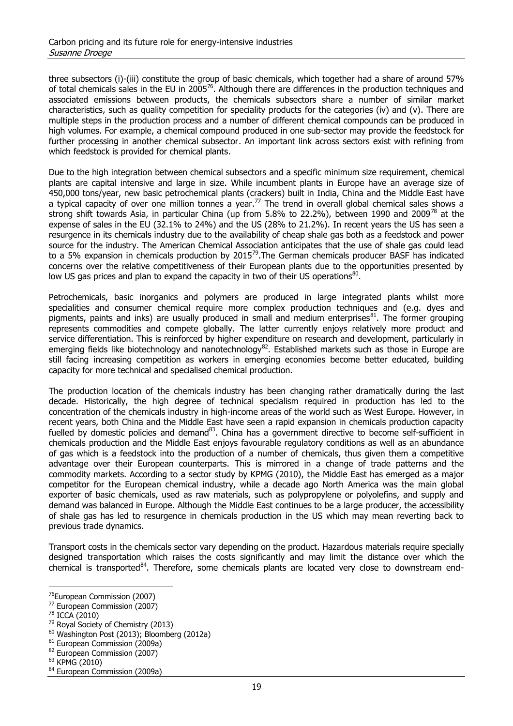three subsectors (i)-(iii) constitute the group of basic chemicals, which together had a share of around 57% of total chemicals sales in the EU in 2005<sup>76</sup>. Although there are differences in the production techniques and associated emissions between products, the chemicals subsectors share a number of similar market characteristics, such as quality competition for speciality products for the categories (iv) and (v). There are multiple steps in the production process and a number of different chemical compounds can be produced in high volumes. For example, a chemical compound produced in one sub-sector may provide the feedstock for further processing in another chemical subsector. An important link across sectors exist with refining from which feedstock is provided for chemical plants.

Due to the high integration between chemical subsectors and a specific minimum size requirement, chemical plants are capital intensive and large in size. While incumbent plants in Europe have an average size of 450,000 tons/year, new basic petrochemical plants (crackers) built in India, China and the Middle East have a typical capacity of over one million tonnes a year.<sup>77</sup> The trend in overall global chemical sales shows a strong shift towards Asia, in particular China (up from 5.8% to 22.2%), between 1990 and 2009<sup>78</sup> at the expense of sales in the EU (32.1% to 24%) and the US (28% to 21.2%). In recent years the US has seen a resurgence in its chemicals industry due to the availability of cheap shale gas both as a feedstock and power source for the industry. The American Chemical Association anticipates that the use of shale gas could lead to a 5% expansion in chemicals production by 2015<sup>79</sup>. The German chemicals producer BASF has indicated concerns over the relative competitiveness of their European plants due to the opportunities presented by low US gas prices and plan to expand the capacity in two of their US operations<sup>80</sup>.

Petrochemicals, basic inorganics and polymers are produced in large integrated plants whilst more specialities and consumer chemical require more complex production techniques and (e.g. dyes and pigments, paints and inks) are usually produced in small and medium enterprises<sup>81</sup>. The former grouping represents commodities and compete globally. The latter currently enjoys relatively more product and service differentiation. This is reinforced by higher expenditure on research and development, particularly in emerging fields like biotechnology and nanotechnology<sup>82</sup>. Established markets such as those in Europe are still facing increasing competition as workers in emerging economies become better educated, building capacity for more technical and specialised chemical production.

The production location of the chemicals industry has been changing rather dramatically during the last decade. Historically, the high degree of technical specialism required in production has led to the concentration of the chemicals industry in high-income areas of the world such as West Europe. However, in recent years, both China and the Middle East have seen a rapid expansion in chemicals production capacity fuelled by domestic policies and demand<sup>83</sup>. China has a government directive to become self-sufficient in chemicals production and the Middle East enjoys favourable regulatory conditions as well as an abundance of gas which is a feedstock into the production of a number of chemicals, thus given them a competitive advantage over their European counterparts. This is mirrored in a change of trade patterns and the commodity markets. According to a sector study by KPMG (2010), the Middle East has emerged as a major competitor for the European chemical industry, while a decade ago North America was the main global exporter of basic chemicals, used as raw materials, such as polypropylene or polyolefins, and supply and demand was balanced in Europe. Although the Middle East continues to be a large producer, the accessibility of shale gas has led to resurgence in chemicals production in the US which may mean reverting back to previous trade dynamics.

Transport costs in the chemicals sector vary depending on the product. Hazardous materials require specially designed transportation which raises the costs significantly and may limit the distance over which the chemical is transported<sup>84</sup>. Therefore, some chemicals plants are located very close to downstream end-

<sup>78</sup> ICCA (2010)

- $79$  Royal Society of Chemistry (2013)
- 80 Washington Post (2013); Bloomberg (2012a)
- <sup>81</sup> European Commission (2009a)
- 82 European Commission (2007)

<sup>&</sup>lt;sup>76</sup>European Commission (2007)

<sup>77</sup> European Commission (2007)

<sup>83</sup> KPMG (2010)

<sup>&</sup>lt;sup>84</sup> European Commission (2009a)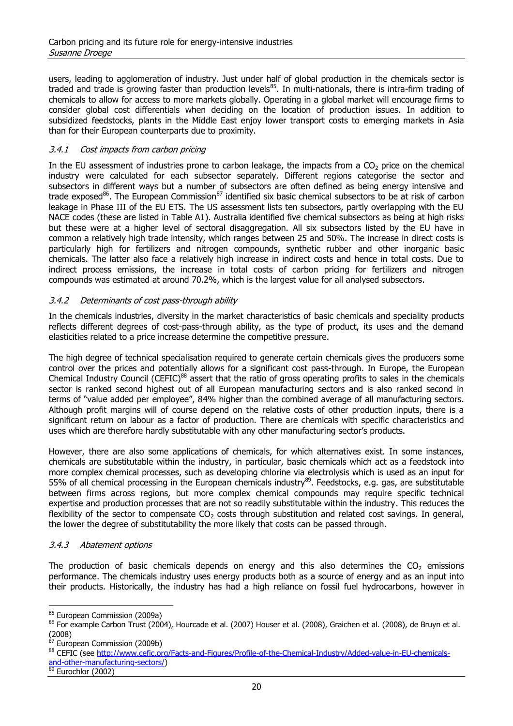users, leading to agglomeration of industry. Just under half of global production in the chemicals sector is traded and trade is growing faster than production levels<sup>85</sup>. In multi-nationals, there is intra-firm trading of chemicals to allow for access to more markets globally. Operating in a global market will encourage firms to consider global cost differentials when deciding on the location of production issues. In addition to subsidized feedstocks, plants in the Middle East enjoy lower transport costs to emerging markets in Asia than for their European counterparts due to proximity.

#### 3.4.1 Cost impacts from carbon pricing

In the EU assessment of industries prone to carbon leakage, the impacts from a  $CO<sub>2</sub>$  price on the chemical industry were calculated for each subsector separately. Different regions categorise the sector and subsectors in different ways but a number of subsectors are often defined as being energy intensive and trade exposed<sup>86</sup>. The European Commission<sup>87</sup> identified six basic chemical subsectors to be at risk of carbon leakage in Phase III of the EU ETS. The US assessment lists ten subsectors, partly overlapping with the EU NACE codes (these are listed in Table A1). Australia identified five chemical subsectors as being at high risks but these were at a higher level of sectoral disaggregation. All six subsectors listed by the EU have in common a relatively high trade intensity, which ranges between 25 and 50%. The increase in direct costs is particularly high for fertilizers and nitrogen compounds, synthetic rubber and other inorganic basic chemicals. The latter also face a relatively high increase in indirect costs and hence in total costs. Due to indirect process emissions, the increase in total costs of carbon pricing for fertilizers and nitrogen compounds was estimated at around 70.2%, which is the largest value for all analysed subsectors.

#### 3.4.2 Determinants of cost pass-through ability

In the chemicals industries, diversity in the market characteristics of basic chemicals and speciality products reflects different degrees of cost-pass-through ability, as the type of product, its uses and the demand elasticities related to a price increase determine the competitive pressure.

The high degree of technical specialisation required to generate certain chemicals gives the producers some control over the prices and potentially allows for a significant cost pass-through. In Europe, the European Chemical Industry Council (CEFIC)<sup>88</sup> assert that the ratio of gross operating profits to sales in the chemicals sector is ranked second highest out of all European manufacturing sectors and is also ranked second in terms of "value added per employee", 84% higher than the combined average of all manufacturing sectors. Although profit margins will of course depend on the relative costs of other production inputs, there is a significant return on labour as a factor of production. There are chemicals with specific characteristics and uses which are therefore hardly substitutable with any other manufacturing sector's products.

However, there are also some applications of chemicals, for which alternatives exist. In some instances, chemicals are substitutable within the industry, in particular, basic chemicals which act as a feedstock into more complex chemical processes, such as developing chlorine via electrolysis which is used as an input for 55% of all chemical processing in the European chemicals industry<sup>89</sup>. Feedstocks, e.g. gas, are substitutable between firms across regions, but more complex chemical compounds may require specific technical expertise and production processes that are not so readily substitutable within the industry. This reduces the flexibility of the sector to compensate  $CO<sub>2</sub>$  costs through substitution and related cost savings. In general, the lower the degree of substitutability the more likely that costs can be passed through.

#### 3.4.3 Abatement options

The production of basic chemicals depends on energy and this also determines the  $CO<sub>2</sub>$  emissions performance. The chemicals industry uses energy products both as a source of energy and as an input into their products. Historically, the industry has had a high reliance on fossil fuel hydrocarbons, however in

85 European Commission (2009a)

 $87$  European Commission (2009b)

<sup>86</sup> For example Carbon Trust (2004), Hourcade et al. (2007) Houser et al. (2008), Graichen et al. (2008), de Bruyn et al. (2008)

<sup>88</sup> CEFIC (see [http://www.cefic.org/Facts-and-Figures/Profile-of-the-Chemical-Industry/Added-value-in-EU-chemicals](http://www.cefic.org/Facts-and-Figures/Profile-of-the-Chemical-Industry/Added-value-in-EU-chemicals-and-other-manufacturing-sectors/)[and-other-manufacturing-sectors/\)](http://www.cefic.org/Facts-and-Figures/Profile-of-the-Chemical-Industry/Added-value-in-EU-chemicals-and-other-manufacturing-sectors/)

 $89$  Eurochlor (2002)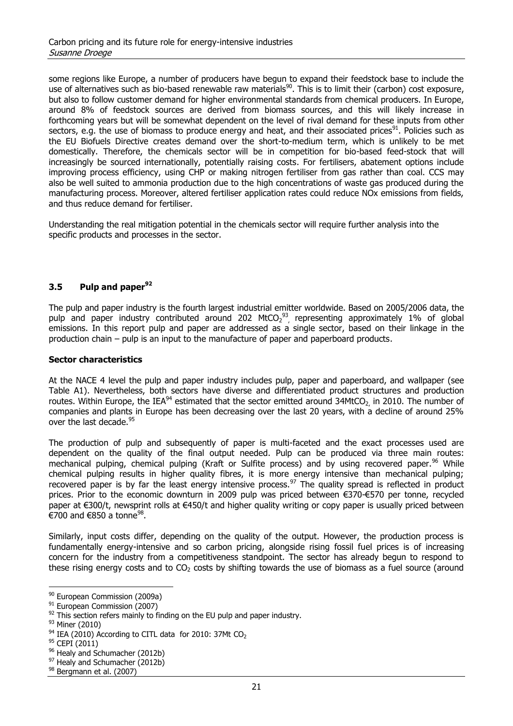some regions like Europe, a number of producers have begun to expand their feedstock base to include the use of alternatives such as bio-based renewable raw materials<sup>90</sup>. This is to limit their (carbon) cost exposure, but also to follow customer demand for higher environmental standards from chemical producers. In Europe, around 8% of feedstock sources are derived from biomass sources, and this will likely increase in forthcoming years but will be somewhat dependent on the level of rival demand for these inputs from other sectors, e.g. the use of biomass to produce energy and heat, and their associated prices<sup>91</sup>. Policies such as the EU Biofuels Directive creates demand over the short-to-medium term, which is unlikely to be met domestically. Therefore, the chemicals sector will be in competition for bio-based feed-stock that will increasingly be sourced internationally, potentially raising costs. For fertilisers, abatement options include improving process efficiency, using CHP or making nitrogen fertiliser from gas rather than coal. CCS may also be well suited to ammonia production due to the high concentrations of waste gas produced during the manufacturing process. Moreover, altered fertiliser application rates could reduce NOx emissions from fields, and thus reduce demand for fertiliser.

Understanding the real mitigation potential in the chemicals sector will require further analysis into the specific products and processes in the sector.

#### **3.5 Pulp and paper<sup>92</sup>**

The pulp and paper industry is the fourth largest industrial emitter worldwide. Based on 2005/2006 data, the pulp and paper industry contributed around 202 MtCO<sub>2</sub><sup>93</sup>, representing approximately 1% of global emissions. In this report pulp and paper are addressed as a single sector, based on their linkage in the production chain – pulp is an input to the manufacture of paper and paperboard products.

#### **Sector characteristics**

At the NACE 4 level the pulp and paper industry includes pulp, paper and paperboard, and wallpaper (see Table A1). Nevertheless, both sectors have diverse and differentiated product structures and production routes. Within Europe, the IEA<sup>94</sup> estimated that the sector emitted around 34MtCO<sub>2,</sub> in 2010. The number of companies and plants in Europe has been decreasing over the last 20 years, with a decline of around 25% over the last decade.<sup>9</sup>

The production of pulp and subsequently of paper is multi-faceted and the exact processes used are dependent on the quality of the final output needed. Pulp can be produced via three main routes: mechanical pulping, chemical pulping (Kraft or Sulfite process) and by using recovered paper.<sup>96</sup> While chemical pulping results in higher quality fibres, it is more energy intensive than mechanical pulping; recovered paper is by far the least energy intensive process.<sup>97</sup> The quality spread is reflected in product prices. Prior to the economic downturn in 2009 pulp was priced between €370-€570 per tonne, recycled paper at €300/t, newsprint rolls at €450/t and higher quality writing or copy paper is usually priced between €700 and €850 a tonne $^{98}$ .

Similarly, input costs differ, depending on the quality of the output. However, the production process is fundamentally energy-intensive and so carbon pricing, alongside rising fossil fuel prices is of increasing concern for the industry from a competitiveness standpoint. The sector has already begun to respond to these rising energy costs and to  $CO<sub>2</sub>$  costs by shifting towards the use of biomass as a fuel source (around

<sup>90</sup> European Commission (2009a)

<sup>&</sup>lt;sup>91</sup> European Commission (2007)

 $92$  This section refers mainly to finding on the EU pulp and paper industry.

<sup>93</sup> Miner (2010)

 $94$  IEA (2010) According to CITL data for 2010: 37Mt CO<sub>2</sub>

<sup>&</sup>lt;sup>95</sup> CEPI (2011)

<sup>96</sup> Healy and Schumacher (2012b)

<sup>97</sup> Healy and Schumacher (2012b)

<sup>98</sup> Bergmann et al. (2007)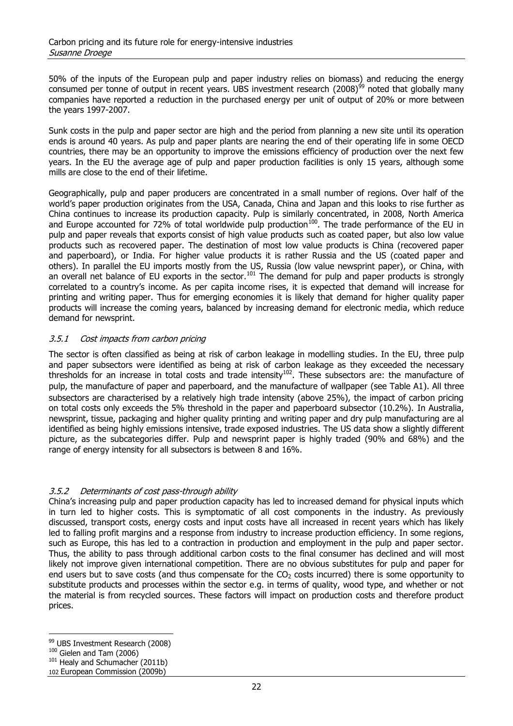50% of the inputs of the European pulp and paper industry relies on biomass) and reducing the energy consumed per tonne of output in recent years. UBS investment research  $(2008)^{99}$  noted that globally many companies have reported a reduction in the purchased energy per unit of output of 20% or more between the years 1997-2007.

Sunk costs in the pulp and paper sector are high and the period from planning a new site until its operation ends is around 40 years. As pulp and paper plants are nearing the end of their operating life in some OECD countries, there may be an opportunity to improve the emissions efficiency of production over the next few years. In the EU the average age of pulp and paper production facilities is only 15 years, although some mills are close to the end of their lifetime.

Geographically, pulp and paper producers are concentrated in a small number of regions. Over half of the world's paper production originates from the USA, Canada, China and Japan and this looks to rise further as China continues to increase its production capacity. Pulp is similarly concentrated, in 2008, North America and Europe accounted for 72% of total worldwide pulp production $^{100}$ . The trade performance of the EU in pulp and paper reveals that exports consist of high value products such as coated paper, but also low value products such as recovered paper. The destination of most low value products is China (recovered paper and paperboard), or India. For higher value products it is rather Russia and the US (coated paper and others). In parallel the EU imports mostly from the US, Russia (low value newsprint paper), or China, with an overall net balance of EU exports in the sector.<sup>101</sup> The demand for pulp and paper products is strongly an overall net balance of EU exports in the sector.<sup>101</sup> The demand for pulp and paper products is strongly correlated to a country's income. As per capita income rises, it is expected that demand will increase for printing and writing paper. Thus for emerging economies it is likely that demand for higher quality paper products will increase the coming years, balanced by increasing demand for electronic media, which reduce demand for newsprint.

#### 3.5.1 Cost impacts from carbon pricing

The sector is often classified as being at risk of carbon leakage in modelling studies. In the EU, three pulp and paper subsectors were identified as being at risk of carbon leakage as they exceeded the necessary thresholds for an increase in total costs and trade intensity<sup>102</sup>. These subsectors are: the manufacture of pulp, the manufacture of paper and paperboard, and the manufacture of wallpaper (see Table A1). All three subsectors are characterised by a relatively high trade intensity (above 25%), the impact of carbon pricing on total costs only exceeds the 5% threshold in the paper and paperboard subsector (10.2%). In Australia, newsprint, tissue, packaging and higher quality printing and writing paper and dry pulp manufacturing are al identified as being highly emissions intensive, trade exposed industries. The US data show a slightly different picture, as the subcategories differ. Pulp and newsprint paper is highly traded (90% and 68%) and the range of energy intensity for all subsectors is between 8 and 16%.

#### 3.5.2 Determinants of cost pass-through ability

China's increasing pulp and paper production capacity has led to increased demand for physical inputs which in turn led to higher costs. This is symptomatic of all cost components in the industry. As previously discussed, transport costs, energy costs and input costs have all increased in recent years which has likely led to falling profit margins and a response from industry to increase production efficiency. In some regions, such as Europe, this has led to a contraction in production and employment in the pulp and paper sector. Thus, the ability to pass through additional carbon costs to the final consumer has declined and will most likely not improve given international competition. There are no obvious substitutes for pulp and paper for end users but to save costs (and thus compensate for the  $CO<sub>2</sub>$  costs incurred) there is some opportunity to substitute products and processes within the sector e.g. in terms of quality, wood type, and whether or not the material is from recycled sources. These factors will impact on production costs and therefore product prices.

<sup>99</sup> UBS Investment Research (2008)

 $100$  Gielen and Tam (2006)

 $101$  Healy and Schumacher (2011b)

<sup>102</sup> European Commission (2009b)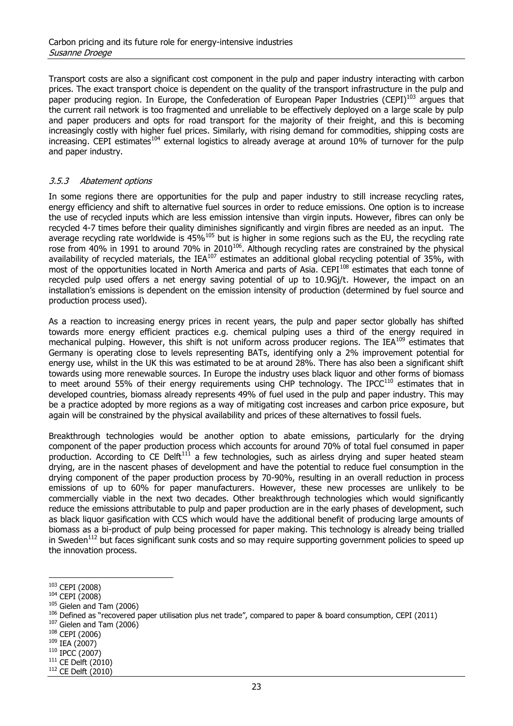Transport costs are also a significant cost component in the pulp and paper industry interacting with carbon prices. The exact transport choice is dependent on the quality of the transport infrastructure in the pulp and paper producing region. In Europe, the Confederation of European Paper Industries (CEPI)<sup>103</sup> argues that the current rail network is too fragmented and unreliable to be effectively deployed on a large scale by pulp and paper producers and opts for road transport for the majority of their freight, and this is becoming increasingly costly with higher fuel prices. Similarly, with rising demand for commodities, shipping costs are  $\frac{1}{2}$  increasing. CEPI estimates<sup>104</sup> external logistics to already average at around 10% of turnover for the pulp and paper industry.

#### 3.5.3 Abatement options

In some regions there are opportunities for the pulp and paper industry to still increase recycling rates, energy efficiency and shift to alternative fuel sources in order to reduce emissions. One option is to increase the use of recycled inputs which are less emission intensive than virgin inputs. However, fibres can only be recycled 4-7 times before their quality diminishes significantly and virgin fibres are needed as an input. The average recycling rate worldwide is 45%<sup>105</sup> but is higher in some regions such as the EU, the recycling rate rose from 40% in 1991 to around 70% in 2010 $^{106}$ . Although recycling rates are constrained by the physical availability of recycled materials, the IEA<sup>107</sup> estimates an additional global recycling potential of 35%, with most of the opportunities located in North America and parts of Asia. CEPI<sup>108</sup> estimates that each tonne of recycled pulp used offers a net energy saving potential of up to 10.9Gj/t. However, the impact on an installation's emissions is dependent on the emission intensity of production (determined by fuel source and production process used).

As a reaction to increasing energy prices in recent years, the pulp and paper sector globally has shifted towards more energy efficient practices e.g. chemical pulping uses a third of the energy required in mechanical pulping. However, this shift is not uniform across producer regions. The IEA<sup>109</sup> estimates that Germany is operating close to levels representing BATs, identifying only a 2% improvement potential for energy use, whilst in the UK this was estimated to be at around 28%. There has also been a significant shift towards using more renewable sources. In Europe the industry uses black liquor and other forms of biomass to meet around 55% of their energy requirements using CHP technology. The IPCC<sup>110</sup> estimates that in developed countries, biomass already represents 49% of fuel used in the pulp and paper industry. This may be a practice adopted by more regions as a way of mitigating cost increases and carbon price exposure, but again will be constrained by the physical availability and prices of these alternatives to fossil fuels.

Breakthrough technologies would be another option to abate emissions, particularly for the drying component of the paper production process which accounts for around 70% of total fuel consumed in paper production. According to CE Delft<sup>111</sup> a few technologies, such as airless drying and super heated steam drying, are in the nascent phases of development and have the potential to reduce fuel consumption in the drying component of the paper production process by 70-90%, resulting in an overall reduction in process emissions of up to 60% for paper manufacturers. However, these new processes are unlikely to be commercially viable in the next two decades. Other breakthrough technologies which would significantly reduce the emissions attributable to pulp and paper production are in the early phases of development, such as black liquor gasification with CCS which would have the additional benefit of producing large amounts of biomass as a bi-product of pulp being processed for paper making. This technology is already being trialled in Sweden<sup>112</sup> but faces significant sunk costs and so may require supporting government policies to speed up the innovation process.

 $\overline{a}$ 

 $107$  Gielen and Tam (2006)

<sup>103</sup> CEPI (2008)

<sup>104</sup> CEPI (2008)

 $105$  Gielen and Tam (2006)

 $106$  Defined as "recovered paper utilisation plus net trade", compared to paper & board consumption, CEPI (2011)

<sup>108</sup> CEPI (2006)

<sup>109</sup> IEA (2007)

<sup>110</sup> IPCC (2007)

 $111$  CE Delft (2010)

<sup>112</sup> CE Delft (2010)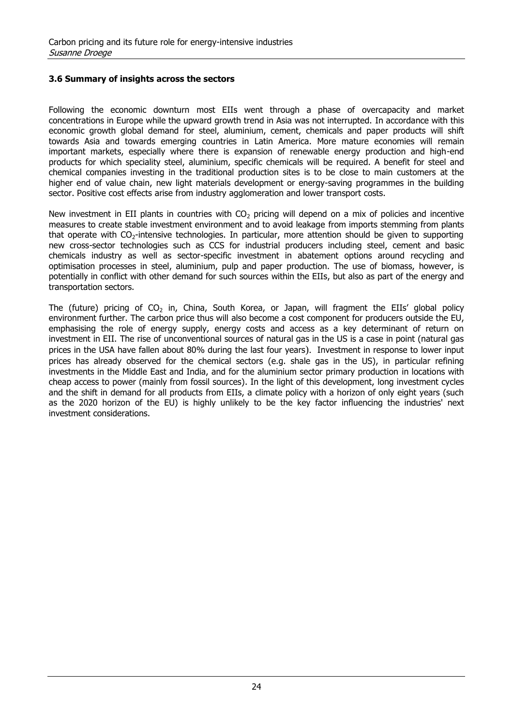#### **3.6 Summary of insights across the sectors**

Following the economic downturn most EIIs went through a phase of overcapacity and market concentrations in Europe while the upward growth trend in Asia was not interrupted. In accordance with this economic growth global demand for steel, aluminium, cement, chemicals and paper products will shift towards Asia and towards emerging countries in Latin America. More mature economies will remain important markets, especially where there is expansion of renewable energy production and high-end products for which speciality steel, aluminium, specific chemicals will be required. A benefit for steel and chemical companies investing in the traditional production sites is to be close to main customers at the higher end of value chain, new light materials development or energy-saving programmes in the building sector. Positive cost effects arise from industry agglomeration and lower transport costs.

New investment in EII plants in countries with  $CO<sub>2</sub>$  pricing will depend on a mix of policies and incentive measures to create stable investment environment and to avoid leakage from imports stemming from plants that operate with  $CO<sub>2</sub>$ -intensive technologies. In particular, more attention should be given to supporting new cross-sector technologies such as CCS for industrial producers including steel, cement and basic chemicals industry as well as sector-specific investment in abatement options around recycling and optimisation processes in steel, aluminium, pulp and paper production. The use of biomass, however, is potentially in conflict with other demand for such sources within the EIIs, but also as part of the energy and transportation sectors.

The (future) pricing of  $CO<sub>2</sub>$  in, China, South Korea, or Japan, will fragment the EIIs' global policy environment further. The carbon price thus will also become a cost component for producers outside the EU, emphasising the role of energy supply, energy costs and access as a key determinant of return on investment in EII. The rise of unconventional sources of natural gas in the US is a case in point (natural gas prices in the USA have fallen about 80% during the last four years). Investment in response to lower input prices has already observed for the chemical sectors (e.g. shale gas in the US), in particular refining investments in the Middle East and India, and for the aluminium sector primary production in locations with cheap access to power (mainly from fossil sources). In the light of this development, long investment cycles and the shift in demand for all products from EIIs, a climate policy with a horizon of only eight years (such as the 2020 horizon of the EU) is highly unlikely to be the key factor influencing the industries' next investment considerations.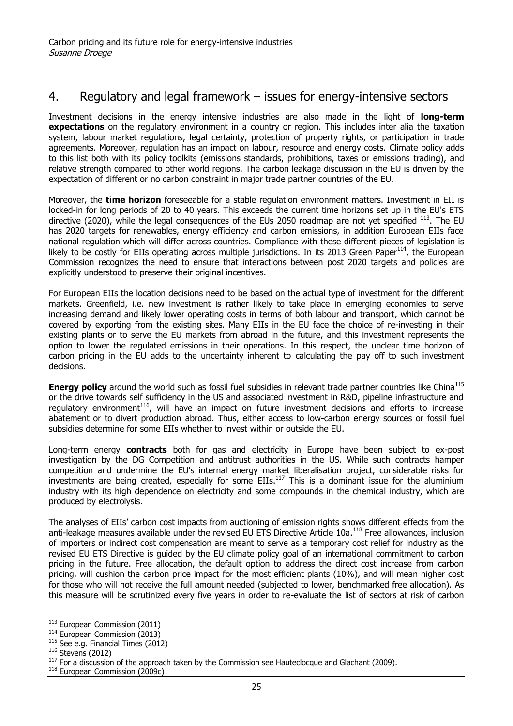# 4. Regulatory and legal framework – issues for energy-intensive sectors

Investment decisions in the energy intensive industries are also made in the light of **long-term expectations** on the regulatory environment in a country or region. This includes inter alia the taxation system, labour market regulations, legal certainty, protection of property rights, or participation in trade agreements. Moreover, regulation has an impact on labour, resource and energy costs. Climate policy adds to this list both with its policy toolkits (emissions standards, prohibitions, taxes or emissions trading), and relative strength compared to other world regions. The carbon leakage discussion in the EU is driven by the expectation of different or no carbon constraint in major trade partner countries of the EU.

Moreover, the **time horizon** foreseeable for a stable regulation environment matters. Investment in EII is locked-in for long periods of 20 to 40 years. This exceeds the current time horizons set up in the EU's ETS directive (2020), while the legal consequences of the EUs 2050 roadmap are not yet specified  $^{113}$ . The EU has 2020 targets for renewables, energy efficiency and carbon emissions, in addition European EIIs face national regulation which will differ across countries. Compliance with these different pieces of legislation is likely to be costly for EIIs operating across multiple jurisdictions. In its 2013 Green Paper<sup>114</sup>, the European Commission recognizes the need to ensure that interactions between post 2020 targets and policies are explicitly understood to preserve their original incentives.

For European EIIs the location decisions need to be based on the actual type of investment for the different markets. Greenfield, i.e. new investment is rather likely to take place in emerging economies to serve increasing demand and likely lower operating costs in terms of both labour and transport, which cannot be covered by exporting from the existing sites. Many EIIs in the EU face the choice of re-investing in their existing plants or to serve the EU markets from abroad in the future, and this investment represents the option to lower the regulated emissions in their operations. In this respect, the unclear time horizon of carbon pricing in the EU adds to the uncertainty inherent to calculating the pay off to such investment decisions.

**Energy policy** around the world such as fossil fuel subsidies in relevant trade partner countries like China<sup>115</sup> or the drive towards self sufficiency in the US and associated investment in R&D, pipeline infrastructure and regulatory environment<sup>116</sup>, will have an impact on future investment decisions and efforts to increase abatement or to divert production abroad. Thus, either access to low-carbon energy sources or fossil fuel subsidies determine for some EIIs whether to invest within or outside the EU.

Long-term energy **contracts** both for gas and electricity in Europe have been subject to ex-post investigation by the DG Competition and antitrust authorities in the US. While such contracts hamper competition and undermine the EU's internal energy market liberalisation project, considerable risks for investments are being created, especially for some EIIs. $^{117}$  This is a dominant issue for the aluminium industry with its high dependence on electricity and some compounds in the chemical industry, which are produced by electrolysis.

The analyses of EIIs' carbon cost impacts from auctioning of emission rights shows different effects from the anti-leakage measures available under the revised EU ETS Directive Article 10a.<sup>118</sup> Free allowances, inclusion of importers or indirect cost compensation are meant to serve as a temporary cost relief for industry as the revised EU ETS Directive is guided by the EU climate policy goal of an international commitment to carbon pricing in the future. Free allocation, the default option to address the direct cost increase from carbon pricing, will cushion the carbon price impact for the most efficient plants (10%), and will mean higher cost for those who will not receive the full amount needed (subjected to lower, benchmarked free allocation). As this measure will be scrutinized every five years in order to re-evaluate the list of sectors at risk of carbon

<sup>113</sup> European Commission (2011)

<sup>&</sup>lt;sup>114</sup> European Commission (2013)

 $115$  See e.g. Financial Times (2012)

 $116$  Stevens (2012)

 $117$  For a discussion of the approach taken by the Commission see Hauteclocque and Glachant (2009).

<sup>118</sup> European Commission (2009c)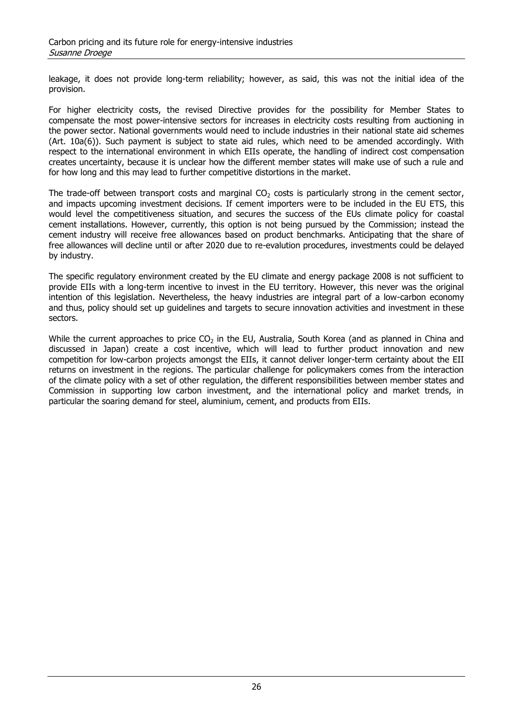leakage, it does not provide long-term reliability; however, as said, this was not the initial idea of the provision.

For higher electricity costs, the revised Directive provides for the possibility for Member States to compensate the most power-intensive sectors for increases in electricity costs resulting from auctioning in the power sector. National governments would need to include industries in their national state aid schemes (Art. 10a(6)). Such payment is subject to state aid rules, which need to be amended accordingly. With respect to the international environment in which EIIs operate, the handling of indirect cost compensation creates uncertainty, because it is unclear how the different member states will make use of such a rule and for how long and this may lead to further competitive distortions in the market.

The trade-off between transport costs and marginal  $CO<sub>2</sub>$  costs is particularly strong in the cement sector, and impacts upcoming investment decisions. If cement importers were to be included in the EU ETS, this would level the competitiveness situation, and secures the success of the EUs climate policy for coastal cement installations. However, currently, this option is not being pursued by the Commission; instead the cement industry will receive free allowances based on product benchmarks. Anticipating that the share of free allowances will decline until or after 2020 due to re-evalution procedures, investments could be delayed by industry.

The specific regulatory environment created by the EU climate and energy package 2008 is not sufficient to provide EIIs with a long-term incentive to invest in the EU territory. However, this never was the original intention of this legislation. Nevertheless, the heavy industries are integral part of a low-carbon economy and thus, policy should set up guidelines and targets to secure innovation activities and investment in these sectors.

While the current approaches to price  $CO<sub>2</sub>$  in the EU, Australia, South Korea (and as planned in China and discussed in Japan) create a cost incentive, which will lead to further product innovation and new competition for low-carbon projects amongst the EIIs, it cannot deliver longer-term certainty about the EII returns on investment in the regions. The particular challenge for policymakers comes from the interaction of the climate policy with a set of other regulation, the different responsibilities between member states and Commission in supporting low carbon investment, and the international policy and market trends, in particular the soaring demand for steel, aluminium, cement, and products from EIIs.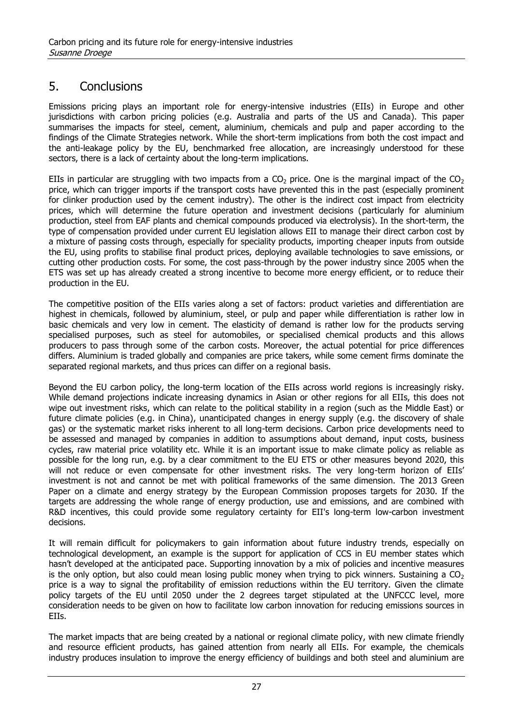# 5. Conclusions

Emissions pricing plays an important role for energy-intensive industries (EIIs) in Europe and other jurisdictions with carbon pricing policies (e.g. Australia and parts of the US and Canada). This paper summarises the impacts for steel, cement, aluminium, chemicals and pulp and paper according to the findings of the Climate Strategies network. While the short-term implications from both the cost impact and the anti-leakage policy by the EU, benchmarked free allocation, are increasingly understood for these sectors, there is a lack of certainty about the long-term implications.

EIIs in particular are struggling with two impacts from a  $CO<sub>2</sub>$  price. One is the marginal impact of the  $CO<sub>2</sub>$ price, which can trigger imports if the transport costs have prevented this in the past (especially prominent for clinker production used by the cement industry). The other is the indirect cost impact from electricity prices, which will determine the future operation and investment decisions (particularly for aluminium production, steel from EAF plants and chemical compounds produced via electrolysis). In the short-term, the type of compensation provided under current EU legislation allows EII to manage their direct carbon cost by a mixture of passing costs through, especially for speciality products, importing cheaper inputs from outside the EU, using profits to stabilise final product prices, deploying available technologies to save emissions, or cutting other production costs. For some, the cost pass-through by the power industry since 2005 when the ETS was set up has already created a strong incentive to become more energy efficient, or to reduce their production in the EU.

The competitive position of the EIIs varies along a set of factors: product varieties and differentiation are highest in chemicals, followed by aluminium, steel, or pulp and paper while differentiation is rather low in basic chemicals and very low in cement. The elasticity of demand is rather low for the products serving specialised purposes, such as steel for automobiles, or specialised chemical products and this allows producers to pass through some of the carbon costs. Moreover, the actual potential for price differences differs. Aluminium is traded globally and companies are price takers, while some cement firms dominate the separated regional markets, and thus prices can differ on a regional basis.

Beyond the EU carbon policy, the long-term location of the EIIs across world regions is increasingly risky. While demand projections indicate increasing dynamics in Asian or other regions for all EIIs, this does not wipe out investment risks, which can relate to the political stability in a region (such as the Middle East) or future climate policies (e.g. in China), unanticipated changes in energy supply (e.g. the discovery of shale gas) or the systematic market risks inherent to all long-term decisions. Carbon price developments need to be assessed and managed by companies in addition to assumptions about demand, input costs, business cycles, raw material price volatility etc. While it is an important issue to make climate policy as reliable as possible for the long run, e.g. by a clear commitment to the EU ETS or other measures beyond 2020, this will not reduce or even compensate for other investment risks. The very long-term horizon of EIIs' investment is not and cannot be met with political frameworks of the same dimension. The 2013 Green Paper on a climate and energy strategy by the European Commission proposes targets for 2030. If the targets are addressing the whole range of energy production, use and emissions, and are combined with R&D incentives, this could provide some regulatory certainty for EII's long-term low-carbon investment decisions.

It will remain difficult for policymakers to gain information about future industry trends, especially on technological development, an example is the support for application of CCS in EU member states which hasn't developed at the anticipated pace. Supporting innovation by a mix of policies and incentive measures is the only option, but also could mean losing public money when trying to pick winners. Sustaining a  $CO<sub>2</sub>$ price is a way to signal the profitability of emission reductions within the EU territory. Given the climate policy targets of the EU until 2050 under the 2 degrees target stipulated at the UNFCCC level, more consideration needs to be given on how to facilitate low carbon innovation for reducing emissions sources in EIIs.

The market impacts that are being created by a national or regional climate policy, with new climate friendly and resource efficient products, has gained attention from nearly all EIIs. For example, the chemicals industry produces insulation to improve the energy efficiency of buildings and both steel and aluminium are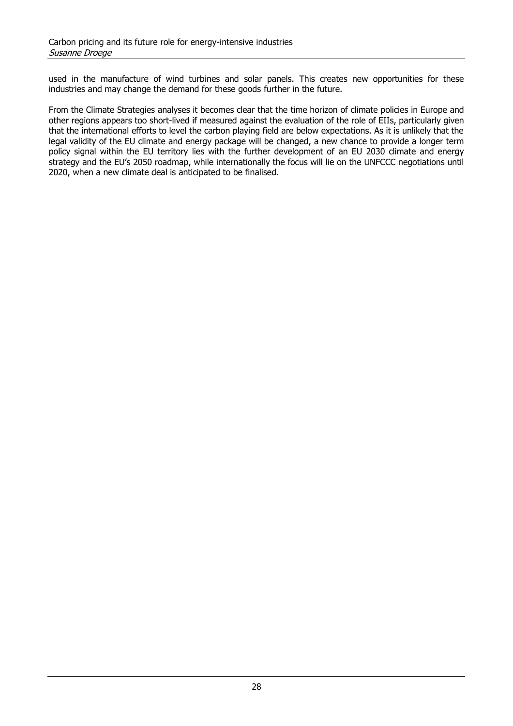used in the manufacture of wind turbines and solar panels. This creates new opportunities for these industries and may change the demand for these goods further in the future.

From the Climate Strategies analyses it becomes clear that the time horizon of climate policies in Europe and other regions appears too short-lived if measured against the evaluation of the role of EIIs, particularly given that the international efforts to level the carbon playing field are below expectations. As it is unlikely that the legal validity of the EU climate and energy package will be changed, a new chance to provide a longer term policy signal within the EU territory lies with the further development of an EU 2030 climate and energy strategy and the EU's 2050 roadmap, while internationally the focus will lie on the UNFCCC negotiations until 2020, when a new climate deal is anticipated to be finalised.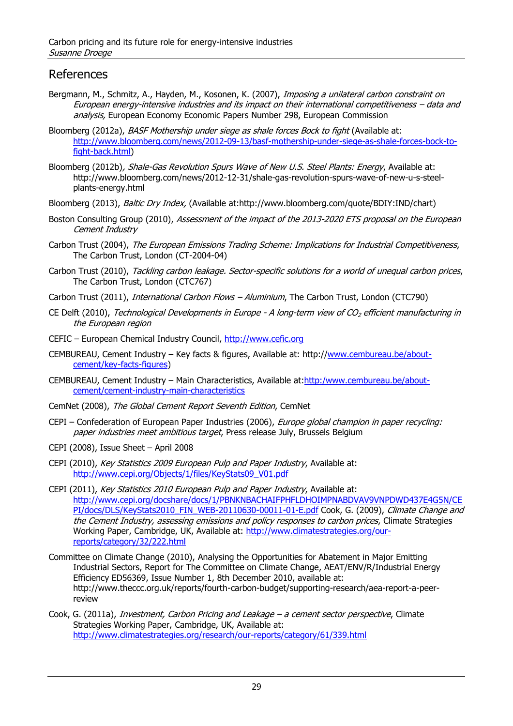## References

- Bergmann, M., Schmitz, A., Hayden, M., Kosonen, K. (2007), *Imposing a unilateral carbon constraint on* European energy-intensive industries and its impact on their international competitiveness – data and analysis, European Economy Economic Papers Number 298, European Commission
- Bloomberg (2012a), BASF Mothership under siege as shale forces Bock to fight (Available at: [http://www.bloomberg.com/news/2012-09-13/basf-mothership-under-siege-as-shale-forces-bock-to](http://www.bloomberg.com/news/2012-09-13/basf-mothership-under-siege-as-shale-forces-bock-to-fight-back.html)[fight-back.html\)](http://www.bloomberg.com/news/2012-09-13/basf-mothership-under-siege-as-shale-forces-bock-to-fight-back.html)
- Bloomberg (2012b), Shale-Gas Revolution Spurs Wave of New U.S. Steel Plants: Energy, Available at: http://www.bloomberg.com/news/2012-12-31/shale-gas-revolution-spurs-wave-of-new-u-s-steelplants-energy.html
- Bloomberg (2013), Baltic Dry Index, (Available at:http://www.bloomberg.com/quote/BDIY:IND/chart)
- Boston Consulting Group (2010), Assessment of the impact of the 2013-2020 ETS proposal on the European Cement Industry
- Carbon Trust (2004), The European Emissions Trading Scheme: Implications for Industrial Competitiveness, The Carbon Trust, London (CT-2004-04)
- Carbon Trust (2010), Tackling carbon leakage. Sector-specific solutions for a world of unequal carbon prices, The Carbon Trust, London (CTC767)
- Carbon Trust (2011), *International Carbon Flows Aluminium*, The Carbon Trust, London (CTC790)
- CE Delft (2010), Technological Developments in Europe A long-term view of  $CO<sub>2</sub>$  efficient manufacturing in the European region
- CEFIC European Chemical Industry Council, [http://www.cefic.org](http://www.cefic.org/)
- CEMBUREAU, Cement Industry Key facts & figures, Available at: http:/[/www.cembureau.be/about](http://www.cembureau.be/about-cement/key-facts-figures)[cement/key-facts-figures\)](http://www.cembureau.be/about-cement/key-facts-figures)
- CEMBUREAU, Cement Industry Main Characteristics, Available at[:http:/www.cembureau.be/about](http://www.cembureau.be/about-cement/cement-industry-main-characteristics)[cement/cement-industry-main-characteristics](http://www.cembureau.be/about-cement/cement-industry-main-characteristics)
- CemNet (2008), The Global Cement Report Seventh Edition, CemNet
- CEPI Confederation of European Paper Industries (2006), Europe global champion in paper recycling: paper industries meet ambitious target, Press release July, Brussels Belgium
- CEPI (2008), Issue Sheet April 2008
- CEPI (2010), Key Statistics 2009 European Pulp and Paper Industry, Available at: [http://www.cepi.org/Objects/1/files/KeyStats09\\_V01.pdf](http://www.cepi.org/Objects/1/files/KeyStats09_V01.pdf)
- CEPI (2011), Key Statistics 2010 European Pulp and Paper Industry, Available at: [http://www.cepi.org/docshare/docs/1/PBNKNBACHAIFPHFLDHOIMPNABDVAV9VNPDWD437E4G5N/CE](http://www.cepi.org/docshare/docs/1/PBNKNBACHAIFPHFLDHOIMPNABDVAV9VNPDWD437E4G5N/CEPI/docs/DLS/KeyStats2010_FIN_WEB-20110630-00011-01-E.pdf) [PI/docs/DLS/KeyStats2010\\_FIN\\_WEB-20110630-00011-01-E.pdf](http://www.cepi.org/docshare/docs/1/PBNKNBACHAIFPHFLDHOIMPNABDVAV9VNPDWD437E4G5N/CEPI/docs/DLS/KeyStats2010_FIN_WEB-20110630-00011-01-E.pdf) Cook, G. (2009), Climate Change and the Cement Industry, assessing emissions and policy responses to carbon prices, Climate Strategies Working Paper, Cambridge, UK, Available at: [http://www.climatestrategies.org/our](http://www.climatestrategies.org/our-reports/category/32/222.html)[reports/category/32/222.html](http://www.climatestrategies.org/our-reports/category/32/222.html)
- Committee on Climate Change (2010), Analysing the Opportunities for Abatement in Major Emitting Industrial Sectors, Report for The Committee on Climate Change, AEAT/ENV/R/Industrial Energy Efficiency ED56369, Issue Number 1, 8th December 2010, available at: http://www.theccc.org.uk/reports/fourth-carbon-budget/supporting-research/aea-report-a-peerreview
- Cook, G. (2011a), *Investment, Carbon Pricing and Leakage a cement sector perspective*, Climate Strategies Working Paper, Cambridge, UK, Available at: <http://www.climatestrategies.org/research/our-reports/category/61/339.html>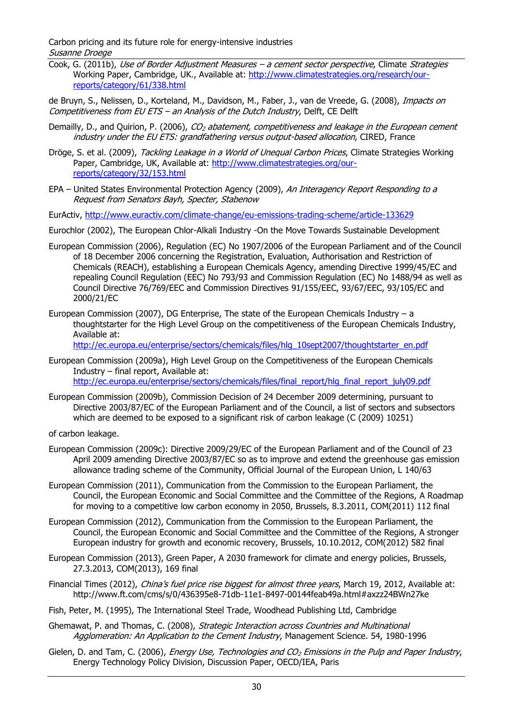Carbon pricing and its future role for energy-intensive industries Susanne Droege

- Cook, G. (2011b), Use of Border Adjustment Measures a cement sector perspective, Climate Strategies Working Paper, Cambridge, UK., Available at: [http://www.climatestrategies.org/research/our](http://www.climatestrategies.org/research/our-reports/category/61/338.html)[reports/category/61/338.html](http://www.climatestrategies.org/research/our-reports/category/61/338.html)
- de Bruyn, S., Nelissen, D., Korteland, M., Davidson, M., Faber, J., van de Vreede, G. (2008), *Impacts on* Competitiveness from EU ETS – an Analysis of the Dutch Industry, Delft, CE Delft
- Demailly, D., and Quirion, P. (2006),  $CO<sub>2</sub>$  abatement, competitiveness and leakage in the European cement industry under the EU ETS: grandfathering versus output-based allocation, CIRED, France
- Dröge, S. et al. (2009), Tackling Leakage in a World of Unequal Carbon Prices, Climate Strategies Working Paper, Cambridge, UK, Available at: [http://www.climatestrategies.org/our](http://www.climatestrategies.org/our-reports/category/32/153.html)[reports/category/32/153.html](http://www.climatestrategies.org/our-reports/category/32/153.html)
- EPA United States Environmental Protection Agency (2009), An Interagency Report Responding to a Request from Senators Bayh, Specter, Stabenow
- EurActiv, <http://www.euractiv.com/climate-change/eu-emissions-trading-scheme/article-133629>

Eurochlor (2002), The European Chlor-Alkali Industry -On the Move Towards Sustainable Development

- European Commission (2006), Regulation (EC) No 1907/2006 of the European Parliament and of the Council of 18 December 2006 concerning the Registration, Evaluation, Authorisation and Restriction of Chemicals (REACH), establishing a European Chemicals Agency, amending Directive 1999/45/EC and repealing Council Regulation (EEC) No 793/93 and Commission Regulation (EC) No 1488/94 as well as Council Directive 76/769/EEC and Commission Directives 91/155/EEC, 93/67/EEC, 93/105/EC and 2000/21/EC
- European Commission (2007), DG Enterprise, The state of the European Chemicals Industry a thoughtstarter for the High Level Group on the competitiveness of the European Chemicals Industry, Available at:

[http://ec.europa.eu/enterprise/sectors/chemicals/files/hlg\\_10sept2007/thoughtstarter\\_en.pdf](http://ec.europa.eu/enterprise/sectors/chemicals/files/hlg_10sept2007/thoughtstarter_en.pdf)

- European Commission (2009a), High Level Group on the Competitiveness of the European Chemicals Industry – final report, Available at: [http://ec.europa.eu/enterprise/sectors/chemicals/files/final\\_report/hlg\\_final\\_report\\_july09.pdf](http://ec.europa.eu/enterprise/sectors/chemicals/files/final_report/hlg_final_report_july09.pdf)
- European Commission (2009b), Commission Decision of 24 December 2009 determining, pursuant to Directive 2003/87/EC of the European Parliament and of the Council, a list of sectors and subsectors which are deemed to be exposed to a significant risk of carbon leakage (C (2009) 10251)
- of carbon leakage.
- European Commission (2009c): Directive 2009/29/EC of the European Parliament and of the Council of 23 April 2009 amending Directive 2003/87/EC so as to improve and extend the greenhouse gas emission allowance trading scheme of the Community, Official Journal of the European Union, L 140/63
- European Commission (2011), Communication from the Commission to the European Parliament, the Council, the European Economic and Social Committee and the Committee of the Regions, A Roadmap for moving to a competitive low carbon economy in 2050, Brussels, 8.3.2011, COM(2011) 112 final
- European Commission (2012), Communication from the Commission to the European Parliament, the Council, the European Economic and Social Committee and the Committee of the Regions, A stronger European industry for growth and economic recovery, Brussels, 10.10.2012, COM(2012) 582 final
- European Commission (2013), Green Paper, A 2030 framework for climate and energy policies, Brussels, 27.3.2013, COM(2013), 169 final
- Financial Times (2012), China's fuel price rise biggest for almost three years, March 19, 2012, Available at: http://www.ft.com/cms/s/0/436395e8-71db-11e1-8497-00144feab49a.html#axzz24BWn27ke
- Fish, Peter, M. (1995), The International Steel Trade, Woodhead Publishing Ltd, Cambridge
- Ghemawat, P. and Thomas, C. (2008), Strategic Interaction across Countries and Multinational Agglomeration: An Application to the Cement Industry, Management Science. 54, 1980-1996
- Gielen, D. and Tam, C. (2006), *Energy Use, Technologies and CO<sub>2</sub> Emissions in the Pulp and Paper Industry*, Energy Technology Policy Division, Discussion Paper, OECD/IEA, Paris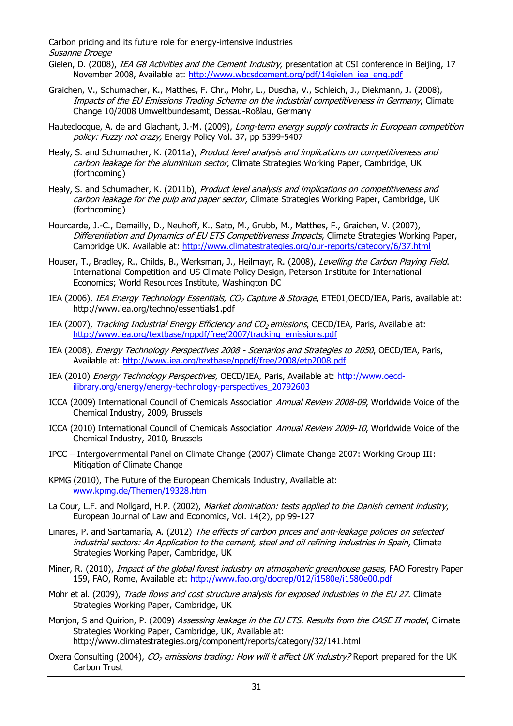Carbon pricing and its future role for energy-intensive industries Susanne Droege

- Gielen, D. (2008), IEA G8 Activities and the Cement Industry, presentation at CSI conference in Beijing, 17 November 2008, Available at: [http://www.wbcsdcement.org/pdf/14gielen\\_iea\\_eng.pdf](http://www.wbcsdcement.org/pdf/14gielen_iea_eng.pdf)
- Graichen, V., Schumacher, K., Matthes, F. Chr., Mohr, L., Duscha, V., Schleich, J., Diekmann, J. (2008), Impacts of the EU Emissions Trading Scheme on the industrial competitiveness in Germany, Climate Change 10/2008 Umweltbundesamt, Dessau-Roßlau, Germany
- Hauteclocque, A. de and Glachant, J.-M. (2009), Long-term energy supply contracts in European competition policy: Fuzzy not crazy, Energy Policy Vol. 37, pp 5399-5407
- Healy, S. and Schumacher, K. (2011a), Product level analysis and implications on competitiveness and carbon leakage for the aluminium sector, Climate Strategies Working Paper, Cambridge, UK (forthcoming)
- Healy, S. and Schumacher, K. (2011b), Product level analysis and implications on competitiveness and carbon leakage for the pulp and paper sector, Climate Strategies Working Paper, Cambridge, UK (forthcoming)
- Hourcarde, J.-C., Demailly, D., Neuhoff, K., Sato, M., Grubb, M., Matthes, F., Graichen, V. (2007), Differentiation and Dynamics of EU ETS Competitiveness Impacts, Climate Strategies Working Paper, Cambridge UK. Available at:<http://www.climatestrategies.org/our-reports/category/6/37.html>
- Houser, T., Bradley, R., Childs, B., Werksman, J., Heilmayr, R. (2008), Levelling the Carbon Playing Field. International Competition and US Climate Policy Design, Peterson Institute for International Economics; World Resources Institute, Washington DC
- IEA (2006), IEA Energy Technology Essentials, CO<sub>2</sub> Capture & Storage, ETE01,OECD/IEA, Paris, available at: http://www.iea.org/techno/essentials1.pdf
- IEA (2007), Tracking Industrial Energy Efficiency and CO<sub>2</sub> emissions, OECD/IEA, Paris, Available at: [http://www.iea.org/textbase/nppdf/free/2007/tracking\\_emissions.pdf](http://www.iea.org/textbase/nppdf/free/2007/tracking_emissions.pdf)
- IEA (2008), Energy Technology Perspectives 2008 Scenarios and Strategies to 2050, OECD/IEA, Paris, Available at:<http://www.iea.org/textbase/nppdf/free/2008/etp2008.pdf>
- IEA (2010) Energy Technology Perspectives, OECD/IEA, Paris, Available at: [http://www.oecd](http://www.oecd-ilibrary.org/energy/energy-technology-perspectives_20792603)[ilibrary.org/energy/energy-technology-perspectives\\_20792603](http://www.oecd-ilibrary.org/energy/energy-technology-perspectives_20792603)
- ICCA (2009) International Council of Chemicals Association Annual Review 2008-09, Worldwide Voice of the Chemical Industry, 2009, Brussels
- ICCA (2010) International Council of Chemicals Association Annual Review 2009-10, Worldwide Voice of the Chemical Industry, 2010, Brussels
- IPCC Intergovernmental Panel on Climate Change (2007) Climate Change 2007: Working Group III: Mitigation of Climate Change
- KPMG (2010), The Future of the European Chemicals Industry, Available at: [www.kpmg.de/Themen/19328.htm](http://www.kpmg.de/Themen/19328.htm)
- La Cour, L.F. and Mollgard, H.P. (2002), Market domination: tests applied to the Danish cement industry, European Journal of Law and Economics, Vol. 14(2), pp 99-127
- Linares, P. and Santamaría, A. (2012) The effects of carbon prices and anti-leakage policies on selected industrial sectors: An Application to the cement, steel and oil refining industries in Spain, Climate Strategies Working Paper, Cambridge, UK
- Miner, R. (2010), *Impact of the global forest industry on atmospheric greenhouse gases*, FAO Forestry Paper 159, FAO, Rome, Available at:<http://www.fao.org/docrep/012/i1580e/i1580e00.pdf>
- Mohr et al. (2009), Trade flows and cost structure analysis for exposed industries in the EU 27. Climate Strategies Working Paper, Cambridge, UK
- Monjon, S and Quirion, P. (2009) Assessing leakage in the EU ETS. Results from the CASE II model, Climate Strategies Working Paper, Cambridge, UK, Available at: http://www.climatestrategies.org/component/reports/category/32/141.html
- Oxera Consulting (2004), CO<sub>2</sub> emissions trading: How will it affect UK industry? Report prepared for the UK Carbon Trust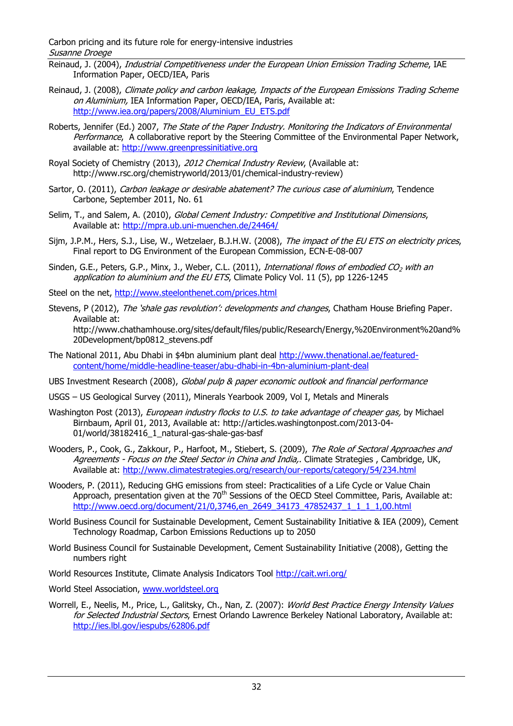Carbon pricing and its future role for energy-intensive industries Susanne Droege

- Reinaud, J. (2004), Industrial Competitiveness under the European Union Emission Trading Scheme, IAE Information Paper, OECD/IEA, Paris
- Reinaud, J. (2008), Climate policy and carbon leakage, Impacts of the European Emissions Trading Scheme on Aluminium, IEA Information Paper, OECD/IEA, Paris, Available at: [http://www.iea.org/papers/2008/Aluminium\\_EU\\_ETS.pdf](http://www.iea.org/papers/2008/Aluminium_EU_ETS.pdf)
- Roberts, Jennifer (Ed.) 2007, The State of the Paper Industry. Monitoring the Indicators of Environmental Performance, A collaborative report by the Steering Committee of the Environmental Paper Network, available at: [http://www.greenpressinitiative.org](http://www.greenpressinitiative.org/)
- Royal Society of Chemistry (2013), 2012 Chemical Industry Review, (Available at: http://www.rsc.org/chemistryworld/2013/01/chemical-industry-review)
- Sartor, O. (2011), Carbon leakage or desirable abatement? The curious case of aluminium, Tendence Carbone, September 2011, No. 61
- Selim, T., and Salem, A. (2010), Global Cement Industry: Competitive and Institutional Dimensions, Available at:<http://mpra.ub.uni-muenchen.de/24464/>
- Sijm, J.P.M., Hers, S.J., Lise, W., Wetzelaer, B.J.H.W. (2008), The impact of the EU ETS on electricity prices, Final report to DG Environment of the European Commission, ECN-E-08-007
- Sinden, G.E., Peters, G.P., Minx, J., Weber, C.L. (2011), International flows of embodied CO<sub>2</sub> with an application to aluminium and the EU ETS, Climate Policy Vol. 11 (5), pp 1226-1245
- Steel on the net, <http://www.steelonthenet.com/prices.html>
- Stevens, P (2012), The 'shale gas revolution': developments and changes, Chatham House Briefing Paper. Available at: http://www.chathamhouse.org/sites/default/files/public/Research/Energy,%20Environment%20and% 20Development/bp0812\_stevens.pdf
- The National 2011, Abu Dhabi in \$4bn aluminium plant deal [http://www.thenational.ae/featured](http://www.thenational.ae/featured-content/home/middle-headline-teaser/abu-dhabi-in-4bn-aluminium-plant-deal)[content/home/middle-headline-teaser/abu-dhabi-in-4bn-aluminium-plant-deal](http://www.thenational.ae/featured-content/home/middle-headline-teaser/abu-dhabi-in-4bn-aluminium-plant-deal)
- UBS Investment Research (2008), Global pulp & paper economic outlook and financial performance
- USGS US Geological Survey (2011), Minerals Yearbook 2009, Vol I, Metals and Minerals
- Washington Post (2013), *European industry flocks to U.S. to take advantage of cheaper gas,* by Michael Birnbaum, April 01, 2013, Available at: http://articles.washingtonpost.com/2013-04- 01/world/38182416\_1\_natural-gas-shale-gas-basf
- Wooders, P., Cook, G., Zakkour, P., Harfoot, M., Stiebert, S. (2009), The Role of Sectoral Approaches and Agreements - Focus on the Steel Sector in China and India,. Climate Strategies, Cambridge, UK, Available at:<http://www.climatestrategies.org/research/our-reports/category/54/234.html>
- Wooders, P. (2011), Reducing GHG emissions from steel: Practicalities of a Life Cycle or Value Chain Approach, presentation given at the  $70<sup>th</sup>$  Sessions of the OECD Steel Committee, Paris, Available at: [http://www.oecd.org/document/21/0,3746,en\\_2649\\_34173\\_47852437\\_1\\_1\\_1\\_1,00.html](http://www.oecd.org/document/21/0,3746,en_2649_34173_47852437_1_1_1_1,00.html)
- World Business Council for Sustainable Development, Cement Sustainability Initiative & IEA (2009), Cement Technology Roadmap, Carbon Emissions Reductions up to 2050
- World Business Council for Sustainable Development, Cement Sustainability Initiative (2008), Getting the numbers right
- World Resources Institute, Climate Analysis Indicators Tool<http://cait.wri.org/>
- World Steel Association, [www.worldsteel.org](http://www.worldsteel.org/)
- Worrell, E., Neelis, M., Price, L., Galitsky, Ch., Nan, Z. (2007): World Best Practice Energy Intensity Values for Selected Industrial Sectors, Ernest Orlando Lawrence Berkeley National Laboratory, Available at: <http://ies.lbl.gov/iespubs/62806.pdf>